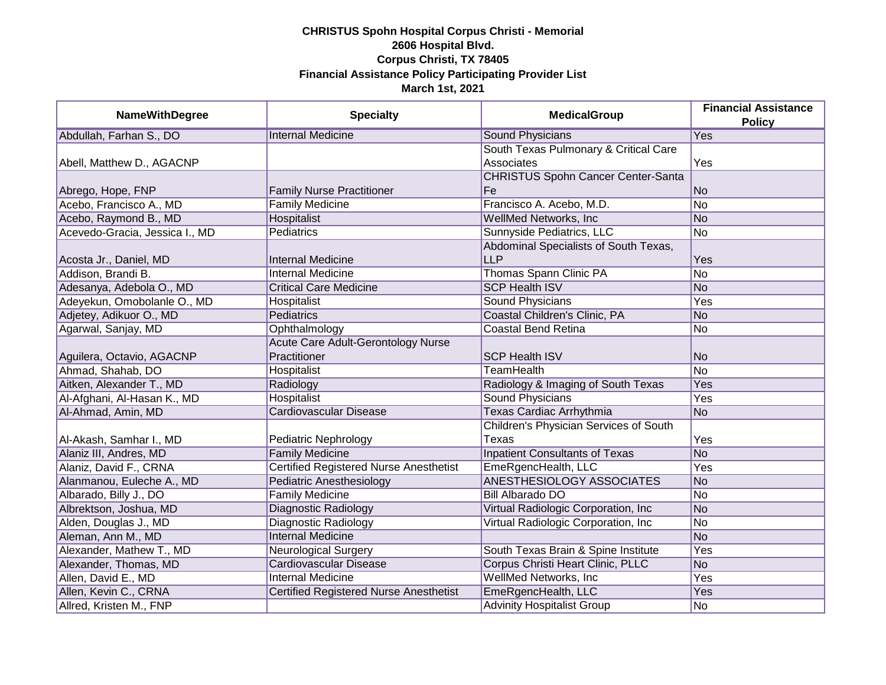| <b>NameWithDegree</b>          | <b>Specialty</b>                              | <b>MedicalGroup</b>                       | <b>Financial Assistance</b><br><b>Policy</b> |
|--------------------------------|-----------------------------------------------|-------------------------------------------|----------------------------------------------|
| Abdullah, Farhan S., DO        | <b>Internal Medicine</b>                      | <b>Sound Physicians</b>                   | Yes                                          |
|                                |                                               | South Texas Pulmonary & Critical Care     |                                              |
| Abell, Matthew D., AGACNP      |                                               | Associates                                | Yes                                          |
|                                |                                               | <b>CHRISTUS Spohn Cancer Center-Santa</b> |                                              |
| Abrego, Hope, FNP              | <b>Family Nurse Practitioner</b>              | Fe                                        | <b>No</b>                                    |
| Acebo, Francisco A., MD        | <b>Family Medicine</b>                        | Francisco A. Acebo, M.D.                  | $\overline{No}$                              |
| Acebo, Raymond B., MD          | Hospitalist                                   | <b>WellMed Networks, Inc.</b>             | <b>No</b>                                    |
| Acevedo-Gracia, Jessica I., MD | <b>Pediatrics</b>                             | Sunnyside Pediatrics, LLC                 | $\overline{No}$                              |
|                                |                                               | Abdominal Specialists of South Texas,     |                                              |
| Acosta Jr., Daniel, MD         | <b>Internal Medicine</b>                      | <b>LLP</b>                                | Yes                                          |
| Addison, Brandi B.             | <b>Internal Medicine</b>                      | Thomas Spann Clinic PA                    | No                                           |
| Adesanya, Adebola O., MD       | <b>Critical Care Medicine</b>                 | <b>SCP Health ISV</b>                     | <b>No</b>                                    |
| Adeyekun, Omobolanle O., MD    | Hospitalist                                   | Sound Physicians                          | Yes                                          |
| Adjetey, Adikuor O., MD        | Pediatrics                                    | Coastal Children's Clinic, PA             | <b>No</b>                                    |
| Agarwal, Sanjay, MD            | Ophthalmology                                 | <b>Coastal Bend Retina</b>                | No                                           |
|                                | Acute Care Adult-Gerontology Nurse            |                                           |                                              |
| Aguilera, Octavio, AGACNP      | Practitioner                                  | <b>SCP Health ISV</b>                     | <b>No</b>                                    |
| Ahmad, Shahab, DO              | Hospitalist                                   | <b>TeamHealth</b>                         | <b>No</b>                                    |
| Aitken, Alexander T., MD       | Radiology                                     | Radiology & Imaging of South Texas        | Yes                                          |
| Al-Afghani, Al-Hasan K., MD    | <b>Hospitalist</b>                            | <b>Sound Physicians</b>                   | Yes                                          |
| Al-Ahmad, Amin, MD             | Cardiovascular Disease                        | <b>Texas Cardiac Arrhythmia</b>           | <b>No</b>                                    |
|                                |                                               | Children's Physician Services of South    |                                              |
| Al-Akash, Samhar I., MD        | Pediatric Nephrology                          | Texas                                     | Yes                                          |
| Alaniz III, Andres, MD         | <b>Family Medicine</b>                        | <b>Inpatient Consultants of Texas</b>     | <b>No</b>                                    |
| Alaniz, David F., CRNA         | <b>Certified Registered Nurse Anesthetist</b> | EmeRgencHealth, LLC                       | Yes                                          |
| Alanmanou, Euleche A., MD      | Pediatric Anesthesiology                      | <b>ANESTHESIOLOGY ASSOCIATES</b>          | N <sub>o</sub>                               |
| Albarado, Billy J., DO         | <b>Family Medicine</b>                        | <b>Bill Albarado DO</b>                   | No                                           |
| Albrektson, Joshua, MD         | Diagnostic Radiology                          | Virtual Radiologic Corporation, Inc       | No                                           |
| Alden, Douglas J., MD          | Diagnostic Radiology                          | Virtual Radiologic Corporation, Inc       | No                                           |
| Aleman, Ann M., MD             | <b>Internal Medicine</b>                      |                                           | No                                           |
| Alexander, Mathew T., MD       | <b>Neurological Surgery</b>                   | South Texas Brain & Spine Institute       | Yes                                          |
| Alexander, Thomas, MD          | Cardiovascular Disease                        | Corpus Christi Heart Clinic, PLLC         | <b>No</b>                                    |
| Allen, David E., MD            | <b>Internal Medicine</b>                      | <b>WellMed Networks, Inc.</b>             | Yes                                          |
| Allen, Kevin C., CRNA          | <b>Certified Registered Nurse Anesthetist</b> | EmeRgencHealth, LLC                       | Yes                                          |
| Allred, Kristen M., FNP        |                                               | <b>Advinity Hospitalist Group</b>         | No                                           |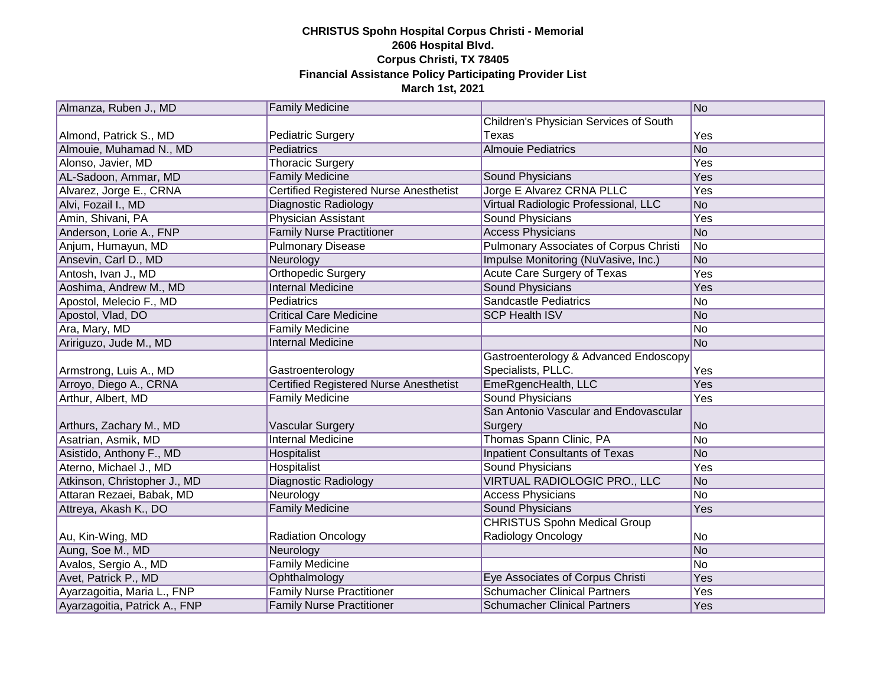| Almanza, Ruben J., MD         | <b>Family Medicine</b>                        |                                               | No         |
|-------------------------------|-----------------------------------------------|-----------------------------------------------|------------|
|                               |                                               | Children's Physician Services of South        |            |
| Almond, Patrick S., MD        | <b>Pediatric Surgery</b>                      | Texas                                         | Yes        |
| Almouie, Muhamad N., MD       | Pediatrics                                    | <b>Almouie Pediatrics</b>                     | No         |
| Alonso, Javier, MD            | <b>Thoracic Surgery</b>                       |                                               | Yes        |
| AL-Sadoon, Ammar, MD          | <b>Family Medicine</b>                        | Sound Physicians                              | Yes        |
| Alvarez, Jorge E., CRNA       | <b>Certified Registered Nurse Anesthetist</b> | Jorge E Alvarez CRNA PLLC                     | <b>Yes</b> |
| Alvi, Fozail I., MD           | Diagnostic Radiology                          | Virtual Radiologic Professional, LLC          | No         |
| Amin, Shivani, PA             | <b>Physician Assistant</b>                    | <b>Sound Physicians</b>                       | Yes        |
| Anderson, Lorie A., FNP       | <b>Family Nurse Practitioner</b>              | <b>Access Physicians</b>                      | No         |
| Anjum, Humayun, MD            | <b>Pulmonary Disease</b>                      | <b>Pulmonary Associates of Corpus Christi</b> | No         |
| Ansevin, Carl D., MD          | Neurology                                     | Impulse Monitoring (NuVasive, Inc.)           | No         |
| Antosh, Ivan J., MD           | Orthopedic Surgery                            | Acute Care Surgery of Texas                   | Yes        |
| Aoshima, Andrew M., MD        | <b>Internal Medicine</b>                      | Sound Physicians                              | Yes        |
| Apostol, Melecio F., MD       | Pediatrics                                    | <b>Sandcastle Pediatrics</b>                  | No         |
| Apostol, Vlad, DO             | <b>Critical Care Medicine</b>                 | <b>SCP Health ISV</b>                         | No         |
| Ara, Mary, MD                 | <b>Family Medicine</b>                        |                                               | No         |
| Aririguzo, Jude M., MD        | <b>Internal Medicine</b>                      |                                               | No         |
|                               |                                               | Gastroenterology & Advanced Endoscopy         |            |
| Armstrong, Luis A., MD        | Gastroenterology                              | Specialists, PLLC.                            | Yes        |
| Arroyo, Diego A., CRNA        | <b>Certified Registered Nurse Anesthetist</b> | EmeRgencHealth, LLC                           | Yes        |
| Arthur, Albert, MD            | <b>Family Medicine</b>                        | Sound Physicians                              | Yes        |
|                               |                                               | San Antonio Vascular and Endovascular         |            |
| Arthurs, Zachary M., MD       | Vascular Surgery                              | Surgery                                       | No         |
| Asatrian, Asmik, MD           | <b>Internal Medicine</b>                      | Thomas Spann Clinic, PA                       | No         |
| Asistido, Anthony F., MD      | Hospitalist                                   | <b>Inpatient Consultants of Texas</b>         | No         |
| Aterno, Michael J., MD        | Hospitalist                                   | Sound Physicians                              | Yes        |
| Atkinson, Christopher J., MD  | Diagnostic Radiology                          | VIRTUAL RADIOLOGIC PRO., LLC                  | No         |
| Attaran Rezaei, Babak, MD     | Neurology                                     | <b>Access Physicians</b>                      | No         |
| Attreya, Akash K., DO         | <b>Family Medicine</b>                        | <b>Sound Physicians</b>                       | Yes        |
|                               |                                               | <b>CHRISTUS Spohn Medical Group</b>           |            |
| Au, Kin-Wing, MD              | <b>Radiation Oncology</b>                     | Radiology Oncology                            | No         |
| Aung, Soe M., MD              | Neurology                                     |                                               | No         |
| Avalos, Sergio A., MD         | <b>Family Medicine</b>                        |                                               | No         |
| Avet, Patrick P., MD          | Ophthalmology                                 | Eye Associates of Corpus Christi              | Yes        |
| Ayarzagoitia, Maria L., FNP   | <b>Family Nurse Practitioner</b>              | <b>Schumacher Clinical Partners</b>           | Yes        |
| Ayarzagoitia, Patrick A., FNP | <b>Family Nurse Practitioner</b>              | <b>Schumacher Clinical Partners</b>           | Yes        |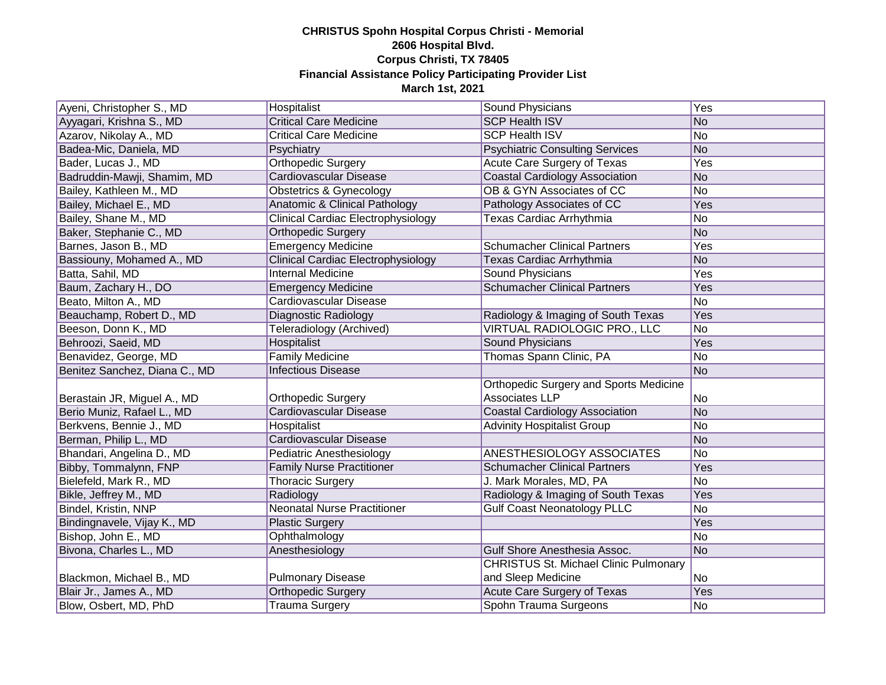| Ayeni, Christopher S., MD     | Hospitalist                               | Sound Physicians                              | Yes |
|-------------------------------|-------------------------------------------|-----------------------------------------------|-----|
| Ayyagari, Krishna S., MD      | <b>Critical Care Medicine</b>             | <b>SCP Health ISV</b>                         | No  |
| Azarov, Nikolay A., MD        | <b>Critical Care Medicine</b>             | <b>SCP Health ISV</b>                         | No  |
| Badea-Mic, Daniela, MD        | Psychiatry                                | <b>Psychiatric Consulting Services</b>        | No  |
| Bader, Lucas J., MD           | <b>Orthopedic Surgery</b>                 | Acute Care Surgery of Texas                   | Yes |
| Badruddin-Mawji, Shamim, MD   | Cardiovascular Disease                    | <b>Coastal Cardiology Association</b>         | No  |
| Bailey, Kathleen M., MD       | Obstetrics & Gynecology                   | OB & GYN Associates of CC                     | No  |
| Bailey, Michael E., MD        | <b>Anatomic &amp; Clinical Pathology</b>  | Pathology Associates of CC                    | Yes |
| Bailey, Shane M., MD          | <b>Clinical Cardiac Electrophysiology</b> | Texas Cardiac Arrhythmia                      | No  |
| Baker, Stephanie C., MD       | Orthopedic Surgery                        |                                               | No  |
| Barnes, Jason B., MD          | <b>Emergency Medicine</b>                 | <b>Schumacher Clinical Partners</b>           | Yes |
| Bassiouny, Mohamed A., MD     | Clinical Cardiac Electrophysiology        | Texas Cardiac Arrhythmia                      | No  |
| Batta, Sahil, MD              | <b>Internal Medicine</b>                  | Sound Physicians                              | Yes |
| Baum, Zachary H., DO          | <b>Emergency Medicine</b>                 | <b>Schumacher Clinical Partners</b>           | Yes |
| Beato, Milton A., MD          | Cardiovascular Disease                    |                                               | No  |
| Beauchamp, Robert D., MD      | Diagnostic Radiology                      | Radiology & Imaging of South Texas            | Yes |
| Beeson, Donn K., MD           | Teleradiology (Archived)                  | VIRTUAL RADIOLOGIC PRO., LLC                  | No  |
| Behroozi, Saeid, MD           | Hospitalist                               | <b>Sound Physicians</b>                       | Yes |
| Benavidez, George, MD         | <b>Family Medicine</b>                    | Thomas Spann Clinic, PA                       | No  |
| Benitez Sanchez, Diana C., MD | <b>Infectious Disease</b>                 |                                               | No  |
|                               |                                           | <b>Orthopedic Surgery and Sports Medicine</b> |     |
| Berastain JR, Miguel A., MD   | Orthopedic Surgery                        | Associates LLP                                | No  |
| Berio Muniz, Rafael L., MD    | Cardiovascular Disease                    | <b>Coastal Cardiology Association</b>         | No  |
| Berkvens, Bennie J., MD       | Hospitalist                               | <b>Advinity Hospitalist Group</b>             | No  |
| Berman, Philip L., MD         | Cardiovascular Disease                    |                                               | No  |
| Bhandari, Angelina D., MD     | Pediatric Anesthesiology                  | ANESTHESIOLOGY ASSOCIATES                     | No  |
| Bibby, Tommalynn, FNP         | <b>Family Nurse Practitioner</b>          | <b>Schumacher Clinical Partners</b>           | Yes |
| Bielefeld, Mark R., MD        | <b>Thoracic Surgery</b>                   | J. Mark Morales, MD, PA                       | No  |
| Bikle, Jeffrey M., MD         | Radiology                                 | Radiology & Imaging of South Texas            | Yes |
| Bindel, Kristin, NNP          | <b>Neonatal Nurse Practitioner</b>        | <b>Gulf Coast Neonatology PLLC</b>            | No  |
| Bindingnavele, Vijay K., MD   | <b>Plastic Surgery</b>                    |                                               | Yes |
| Bishop, John E., MD           | Ophthalmology                             |                                               | No  |
| Bivona, Charles L., MD        | Anesthesiology                            | Gulf Shore Anesthesia Assoc.                  | No  |
|                               |                                           | <b>CHRISTUS St. Michael Clinic Pulmonary</b>  |     |
| Blackmon, Michael B., MD      | <b>Pulmonary Disease</b>                  | and Sleep Medicine                            | No  |
| Blair Jr., James A., MD       | <b>Orthopedic Surgery</b>                 | Acute Care Surgery of Texas                   | Yes |
| Blow, Osbert, MD, PhD         | <b>Trauma Surgery</b>                     | Spohn Trauma Surgeons                         |     |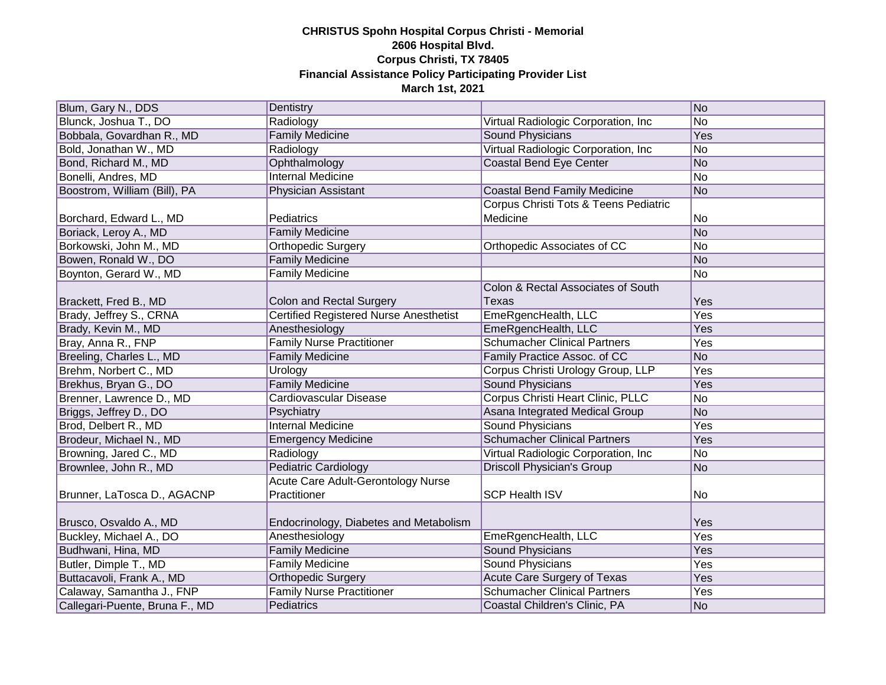| Blum, Gary N., DDS             | Dentistry                                     |                                       | No  |
|--------------------------------|-----------------------------------------------|---------------------------------------|-----|
| Blunck, Joshua T., DO          | Radiology                                     | Virtual Radiologic Corporation, Inc   | No  |
| Bobbala, Govardhan R., MD      | <b>Family Medicine</b>                        | <b>Sound Physicians</b>               | Yes |
| Bold, Jonathan W., MD          | Radiology                                     | Virtual Radiologic Corporation, Inc   | No  |
| Bond, Richard M., MD           | Ophthalmology                                 | <b>Coastal Bend Eye Center</b>        | No  |
| Bonelli, Andres, MD            | <b>Internal Medicine</b>                      |                                       | No  |
| Boostrom, William (Bill), PA   | Physician Assistant                           | <b>Coastal Bend Family Medicine</b>   | No  |
|                                |                                               | Corpus Christi Tots & Teens Pediatric |     |
| Borchard, Edward L., MD        | Pediatrics                                    | Medicine                              | No  |
| Boriack, Leroy A., MD          | <b>Family Medicine</b>                        |                                       | No  |
| Borkowski, John M., MD         | Orthopedic Surgery                            | Orthopedic Associates of CC           | No  |
| Bowen, Ronald W., DO           | <b>Family Medicine</b>                        |                                       | No  |
| Boynton, Gerard W., MD         | <b>Family Medicine</b>                        |                                       | No  |
|                                |                                               | Colon & Rectal Associates of South    |     |
| Brackett, Fred B., MD          | Colon and Rectal Surgery                      | Texas                                 | Yes |
| Brady, Jeffrey S., CRNA        | <b>Certified Registered Nurse Anesthetist</b> | EmeRgencHealth, LLC                   | Yes |
| Brady, Kevin M., MD            | Anesthesiology                                | EmeRgencHealth, LLC                   | Yes |
| Bray, Anna R., FNP             | <b>Family Nurse Practitioner</b>              | <b>Schumacher Clinical Partners</b>   | Yes |
| Breeling, Charles L., MD       | <b>Family Medicine</b>                        | Family Practice Assoc. of CC          | No  |
| Brehm, Norbert C., MD          | Urology                                       | Corpus Christi Urology Group, LLP     | Yes |
| Brekhus, Bryan G., DO          | <b>Family Medicine</b>                        | <b>Sound Physicians</b>               | Yes |
| Brenner, Lawrence D., MD       | Cardiovascular Disease                        | Corpus Christi Heart Clinic, PLLC     | No  |
| Briggs, Jeffrey D., DO         | Psychiatry                                    | Asana Integrated Medical Group        | No  |
| Brod, Delbert R., MD           | <b>Internal Medicine</b>                      | <b>Sound Physicians</b>               | Yes |
| Brodeur, Michael N., MD        | <b>Emergency Medicine</b>                     | <b>Schumacher Clinical Partners</b>   | Yes |
| Browning, Jared C., MD         | Radiology                                     | Virtual Radiologic Corporation, Inc   | No  |
| Brownlee, John R., MD          | <b>Pediatric Cardiology</b>                   | <b>Driscoll Physician's Group</b>     | No  |
|                                | Acute Care Adult-Gerontology Nurse            |                                       |     |
| Brunner, LaTosca D., AGACNP    | Practitioner                                  | <b>SCP Health ISV</b>                 | No  |
|                                |                                               |                                       |     |
| Brusco, Osvaldo A., MD         | Endocrinology, Diabetes and Metabolism        |                                       | Yes |
| Buckley, Michael A., DO        | Anesthesiology                                | EmeRgencHealth, LLC                   | Yes |
| Budhwani, Hina, MD             | <b>Family Medicine</b>                        | <b>Sound Physicians</b>               | Yes |
| Butler, Dimple T., MD          | Family Medicine                               | <b>Sound Physicians</b>               | Yes |
| Buttacavoli, Frank A., MD      | Orthopedic Surgery                            | Acute Care Surgery of Texas           | Yes |
| Calaway, Samantha J., FNP      | <b>Family Nurse Practitioner</b>              | <b>Schumacher Clinical Partners</b>   | Yes |
| Callegari-Puente, Bruna F., MD | Pediatrics                                    | Coastal Children's Clinic, PA         | No  |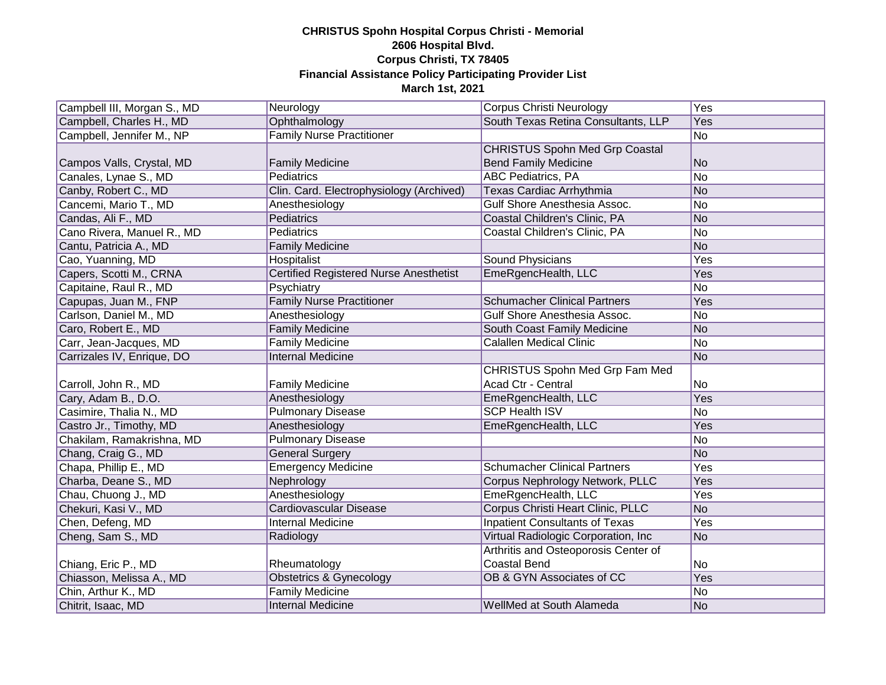| Campbell III, Morgan S., MD | Neurology                                     | Corpus Christi Neurology              | Yes            |
|-----------------------------|-----------------------------------------------|---------------------------------------|----------------|
| Campbell, Charles H., MD    | Ophthalmology                                 | South Texas Retina Consultants, LLP   | Yes            |
| Campbell, Jennifer M., NP   | <b>Family Nurse Practitioner</b>              |                                       | No             |
|                             |                                               | <b>CHRISTUS Spohn Med Grp Coastal</b> |                |
| Campos Valls, Crystal, MD   | <b>Family Medicine</b>                        | <b>Bend Family Medicine</b>           | N <sub>o</sub> |
| Canales, Lynae S., MD       | <b>Pediatrics</b>                             | <b>ABC Pediatrics, PA</b>             | No             |
| Canby, Robert C., MD        | Clin. Card. Electrophysiology (Archived)      | Texas Cardiac Arrhythmia              | No             |
| Cancemi, Mario T., MD       | Anesthesiology                                | Gulf Shore Anesthesia Assoc.          | No             |
| Candas, Ali F., MD          | Pediatrics                                    | Coastal Children's Clinic, PA         | No             |
| Cano Rivera, Manuel R., MD  | Pediatrics                                    | Coastal Children's Clinic, PA         | No             |
| Cantu, Patricia A., MD      | <b>Family Medicine</b>                        |                                       | No             |
| Cao, Yuanning, MD           | Hospitalist                                   | Sound Physicians                      | Yes            |
| Capers, Scotti M., CRNA     | <b>Certified Registered Nurse Anesthetist</b> | EmeRgencHealth, LLC                   | Yes            |
| Capitaine, Raul R., MD      | Psychiatry                                    |                                       | No             |
| Capupas, Juan M., FNP       | <b>Family Nurse Practitioner</b>              | <b>Schumacher Clinical Partners</b>   | Yes            |
| Carlson, Daniel M., MD      | Anesthesiology                                | Gulf Shore Anesthesia Assoc.          | No             |
| Caro, Robert E., MD         | <b>Family Medicine</b>                        | South Coast Family Medicine           | No             |
| Carr, Jean-Jacques, MD      | <b>Family Medicine</b>                        | <b>Calallen Medical Clinic</b>        | No             |
| Carrizales IV, Enrique, DO  | <b>Internal Medicine</b>                      |                                       | No             |
|                             |                                               | <b>CHRISTUS Spohn Med Grp Fam Med</b> |                |
| Carroll, John R., MD        | <b>Family Medicine</b>                        | Acad Ctr - Central                    | No             |
| Cary, Adam B., D.O.         | Anesthesiology                                | EmeRgencHealth, LLC                   | Yes            |
| Casimire, Thalia N., MD     | <b>Pulmonary Disease</b>                      | <b>SCP Health ISV</b>                 | No             |
| Castro Jr., Timothy, MD     | Anesthesiology                                | EmeRgencHealth, LLC                   | Yes            |
| Chakilam, Ramakrishna, MD   | <b>Pulmonary Disease</b>                      |                                       | No             |
| Chang, Craig G., MD         | <b>General Surgery</b>                        |                                       | No             |
| Chapa, Phillip E., MD       | <b>Emergency Medicine</b>                     | <b>Schumacher Clinical Partners</b>   | Yes            |
| Charba, Deane S., MD        | Nephrology                                    | Corpus Nephrology Network, PLLC       | Yes            |
| Chau, Chuong J., MD         | Anesthesiology                                | EmeRgencHealth, LLC                   | Yes            |
| Chekuri, Kasi V., MD        | <b>Cardiovascular Disease</b>                 | Corpus Christi Heart Clinic, PLLC     | No             |
| Chen, Defeng, MD            | <b>Internal Medicine</b>                      | <b>Inpatient Consultants of Texas</b> | Yes            |
| Cheng, Sam S., MD           | Radiology                                     | Virtual Radiologic Corporation, Inc.  | No             |
|                             |                                               | Arthritis and Osteoporosis Center of  |                |
| Chiang, Eric P., MD         | Rheumatology                                  | <b>Coastal Bend</b>                   | No             |
| Chiasson, Melissa A., MD    | <b>Obstetrics &amp; Gynecology</b>            | OB & GYN Associates of CC             | Yes            |
| Chin, Arthur K., MD         | <b>Family Medicine</b>                        |                                       | No             |
| Chitrit, Isaac, MD          | <b>Internal Medicine</b>                      | WellMed at South Alameda              | No             |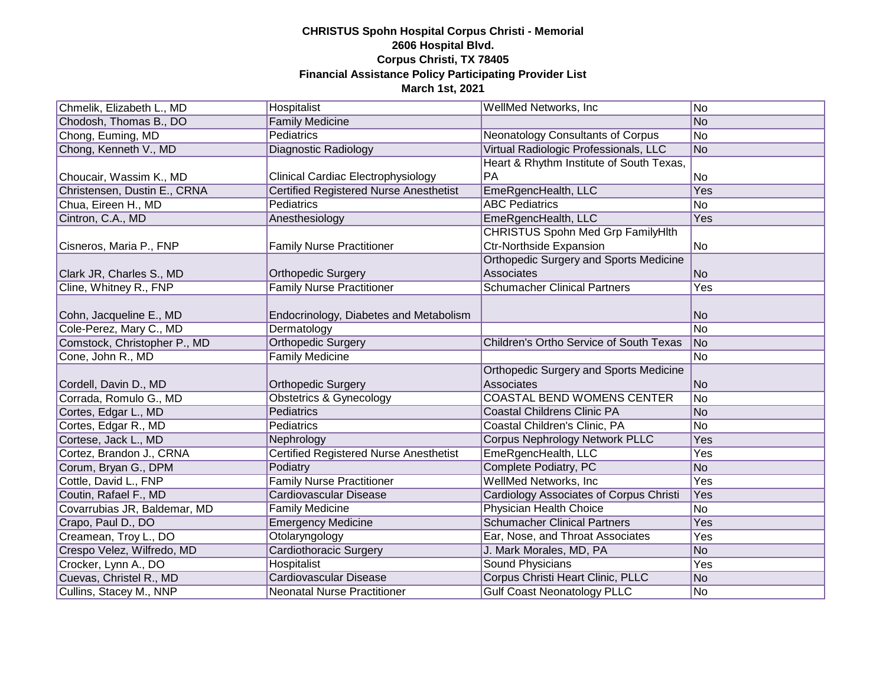| Chmelik, Elizabeth L., MD    | Hospitalist                                   | WellMed Networks, Inc.                         | No             |
|------------------------------|-----------------------------------------------|------------------------------------------------|----------------|
| Chodosh, Thomas B., DO       | <b>Family Medicine</b>                        |                                                | No             |
| Chong, Euming, MD            | <b>Pediatrics</b>                             | Neonatology Consultants of Corpus              | No             |
| Chong, Kenneth V., MD        | Diagnostic Radiology                          | Virtual Radiologic Professionals, LLC          | No             |
|                              |                                               | Heart & Rhythm Institute of South Texas,       |                |
| Choucair, Wassim K., MD      | <b>Clinical Cardiac Electrophysiology</b>     | PA                                             | No             |
| Christensen, Dustin E., CRNA | <b>Certified Registered Nurse Anesthetist</b> | EmeRgencHealth, LLC                            | Yes            |
| Chua, Eireen H., MD          | Pediatrics                                    | <b>ABC Pediatrics</b>                          | No             |
| Cintron, C.A., MD            | Anesthesiology                                | EmeRgencHealth, LLC                            | Yes            |
|                              |                                               | CHRISTUS Spohn Med Grp FamilyHlth              |                |
| Cisneros, Maria P., FNP      | <b>Family Nurse Practitioner</b>              | <b>Ctr-Northside Expansion</b>                 | N <sub>o</sub> |
|                              |                                               | Orthopedic Surgery and Sports Medicine         |                |
| Clark JR, Charles S., MD     | <b>Orthopedic Surgery</b>                     | Associates                                     | No             |
| Cline, Whitney R., FNP       | <b>Family Nurse Practitioner</b>              | <b>Schumacher Clinical Partners</b>            | Yes            |
|                              |                                               |                                                |                |
| Cohn, Jacqueline E., MD      | Endocrinology, Diabetes and Metabolism        |                                                | No             |
| Cole-Perez, Mary C., MD      | Dermatology                                   |                                                | No             |
| Comstock, Christopher P., MD | <b>Orthopedic Surgery</b>                     | Children's Ortho Service of South Texas        | No             |
| Cone, John R., MD            | <b>Family Medicine</b>                        |                                                | No             |
|                              |                                               | Orthopedic Surgery and Sports Medicine         |                |
| Cordell, Davin D., MD        | <b>Orthopedic Surgery</b>                     | Associates                                     | No             |
| Corrada, Romulo G., MD       | <b>Obstetrics &amp; Gynecology</b>            | <b>COASTAL BEND WOMENS CENTER</b>              | No             |
| Cortes, Edgar L., MD         | Pediatrics                                    | <b>Coastal Childrens Clinic PA</b>             | No             |
| Cortes, Edgar R., MD         | Pediatrics                                    | Coastal Children's Clinic, PA                  | No             |
| Cortese, Jack L., MD         | Nephrology                                    | <b>Corpus Nephrology Network PLLC</b>          | Yes            |
| Cortez, Brandon J., CRNA     | <b>Certified Registered Nurse Anesthetist</b> | EmeRgencHealth, LLC                            | Yes            |
| Corum, Bryan G., DPM         | Podiatry                                      | Complete Podiatry, PC                          | No             |
| Cottle, David L., FNP        | <b>Family Nurse Practitioner</b>              | WellMed Networks, Inc.                         | Yes            |
| Coutin, Rafael F., MD        | <b>Cardiovascular Disease</b>                 | <b>Cardiology Associates of Corpus Christi</b> | Yes            |
| Covarrubias JR, Baldemar, MD | <b>Family Medicine</b>                        | Physician Health Choice                        | No             |
| Crapo, Paul D., DO           | <b>Emergency Medicine</b>                     | <b>Schumacher Clinical Partners</b>            | Yes            |
| Creamean, Troy L., DO        | Otolaryngology                                | Ear, Nose, and Throat Associates               | Yes            |
| Crespo Velez, Wilfredo, MD   | <b>Cardiothoracic Surgery</b>                 | J. Mark Morales, MD, PA                        | No             |
| Crocker, Lynn A., DO         | Hospitalist                                   | <b>Sound Physicians</b>                        | Yes            |
| Cuevas, Christel R., MD      | <b>Cardiovascular Disease</b>                 | Corpus Christi Heart Clinic, PLLC              | No             |
| Cullins, Stacey M., NNP      | <b>Neonatal Nurse Practitioner</b>            | <b>Gulf Coast Neonatology PLLC</b>             | No             |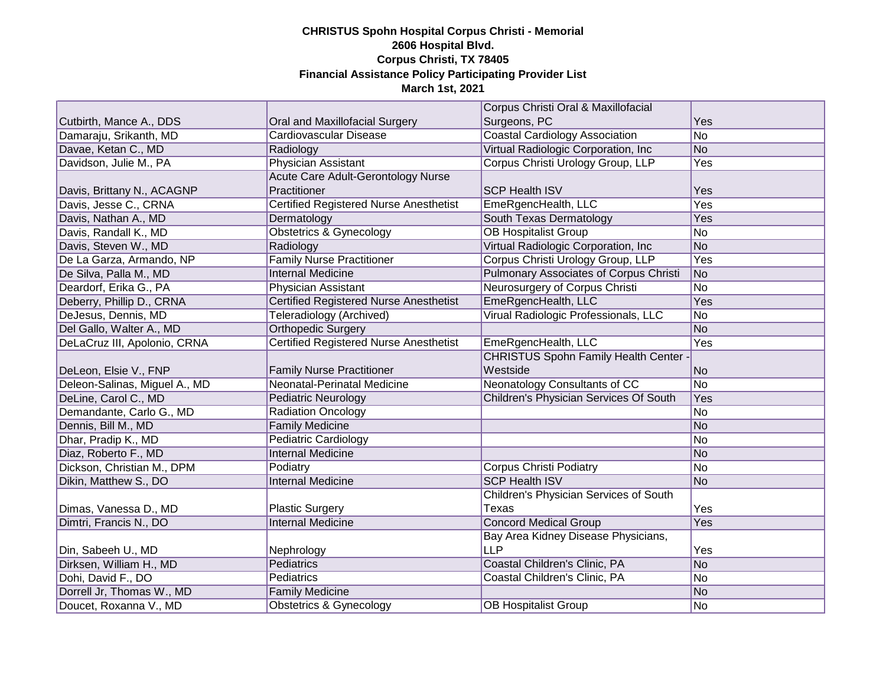|                               |                                               | Corpus Christi Oral & Maxillofacial           |     |
|-------------------------------|-----------------------------------------------|-----------------------------------------------|-----|
| Cutbirth, Mance A., DDS       | Oral and Maxillofacial Surgery                | Surgeons, PC                                  | Yes |
| Damaraju, Srikanth, MD        | Cardiovascular Disease                        | <b>Coastal Cardiology Association</b>         | No  |
| Davae, Ketan C., MD           | Radiology                                     | Virtual Radiologic Corporation, Inc.          | No  |
| Davidson, Julie M., PA        | <b>Physician Assistant</b>                    | Corpus Christi Urology Group, LLP             | Yes |
|                               | <b>Acute Care Adult-Gerontology Nurse</b>     |                                               |     |
| Davis, Brittany N., ACAGNP    | Practitioner                                  | <b>SCP Health ISV</b>                         | Yes |
| Davis, Jesse C., CRNA         | <b>Certified Registered Nurse Anesthetist</b> | EmeRgencHealth, LLC                           | Yes |
| Davis, Nathan A., MD          | Dermatology                                   | South Texas Dermatology                       | Yes |
| Davis, Randall K., MD         | <b>Obstetrics &amp; Gynecology</b>            | <b>OB Hospitalist Group</b>                   | No  |
| Davis, Steven W., MD          | Radiology                                     | Virtual Radiologic Corporation, Inc.          | No  |
| De La Garza, Armando, NP      | <b>Family Nurse Practitioner</b>              | Corpus Christi Urology Group, LLP             | Yes |
| De Silva, Palla M., MD        | <b>Internal Medicine</b>                      | <b>Pulmonary Associates of Corpus Christi</b> | No  |
| Deardorf, Erika G., PA        | Physician Assistant                           | Neurosurgery of Corpus Christi                | No  |
| Deberry, Phillip D., CRNA     | Certified Registered Nurse Anesthetist        | EmeRgencHealth, LLC                           | Yes |
| DeJesus, Dennis, MD           | Teleradiology (Archived)                      | Virual Radiologic Professionals, LLC          | No  |
| Del Gallo, Walter A., MD      | <b>Orthopedic Surgery</b>                     |                                               | No  |
| DeLaCruz III, Apolonio, CRNA  | Certified Registered Nurse Anesthetist        | EmeRgencHealth, LLC                           | Yes |
|                               |                                               | <b>CHRISTUS Spohn Family Health Center</b>    |     |
| DeLeon, Elsie V., FNP         | <b>Family Nurse Practitioner</b>              | Westside                                      | No  |
| Deleon-Salinas, Miguel A., MD | Neonatal-Perinatal Medicine                   | Neonatology Consultants of CC                 | No  |
| DeLine, Carol C., MD          | <b>Pediatric Neurology</b>                    | Children's Physician Services Of South        | Yes |
| Demandante, Carlo G., MD      | <b>Radiation Oncology</b>                     |                                               | No  |
| Dennis, Bill M., MD           | <b>Family Medicine</b>                        |                                               | No  |
| Dhar, Pradip K., MD           | Pediatric Cardiology                          |                                               | No  |
| Diaz, Roberto F., MD          | <b>Internal Medicine</b>                      |                                               | No  |
| Dickson, Christian M., DPM    | Podiatry                                      | <b>Corpus Christi Podiatry</b>                | No  |
| Dikin, Matthew S., DO         | <b>Internal Medicine</b>                      | <b>SCP Health ISV</b>                         | No  |
|                               |                                               | Children's Physician Services of South        |     |
| Dimas, Vanessa D., MD         | <b>Plastic Surgery</b>                        | Texas                                         | Yes |
| Dimtri, Francis N., DO        | <b>Internal Medicine</b>                      | <b>Concord Medical Group</b>                  | Yes |
|                               |                                               | Bay Area Kidney Disease Physicians,           |     |
| Din, Sabeeh U., MD            | Nephrology                                    | <b>LLP</b>                                    | Yes |
| Dirksen, William H., MD       | Pediatrics                                    | Coastal Children's Clinic, PA                 | No  |
| Dohi, David F., DO            | <b>Pediatrics</b>                             | Coastal Children's Clinic, PA                 | No  |
| Dorrell Jr, Thomas W., MD     | <b>Family Medicine</b>                        |                                               | No  |
| Doucet, Roxanna V., MD        | Obstetrics & Gynecology                       | <b>OB Hospitalist Group</b>                   | No  |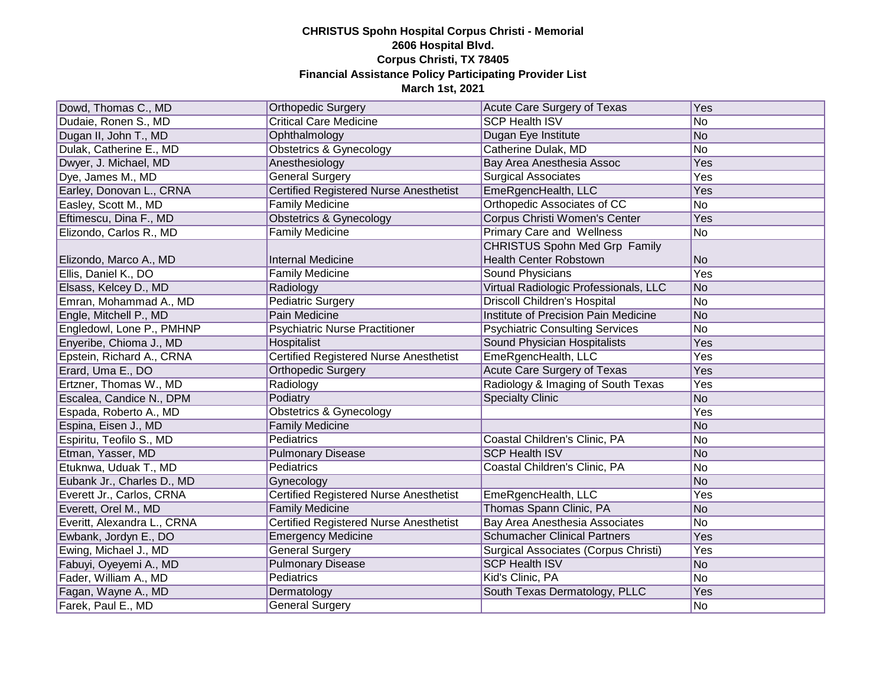| Dowd, Thomas C., MD         | <b>Orthopedic Surgery</b>                     | Acute Care Surgery of Texas            | Yes        |
|-----------------------------|-----------------------------------------------|----------------------------------------|------------|
| Dudaie, Ronen S., MD        | <b>Critical Care Medicine</b>                 | <b>SCP Health ISV</b>                  | No         |
| Dugan II, John T., MD       | Ophthalmology                                 | Dugan Eye Institute                    | No         |
| Dulak, Catherine E., MD     | <b>Obstetrics &amp; Gynecology</b>            | Catherine Dulak, MD                    | No         |
| Dwyer, J. Michael, MD       | Anesthesiology                                | Bay Area Anesthesia Assoc              | Yes        |
| Dye, James M., MD           | <b>General Surgery</b>                        | <b>Surgical Associates</b>             | <b>Yes</b> |
| Earley, Donovan L., CRNA    | <b>Certified Registered Nurse Anesthetist</b> | EmeRgencHealth, LLC                    | Yes        |
| Easley, Scott M., MD        | <b>Family Medicine</b>                        | Orthopedic Associates of CC            | No         |
| Eftimescu, Dina F., MD      | <b>Obstetrics &amp; Gynecology</b>            | Corpus Christi Women's Center          | Yes        |
| Elizondo, Carlos R., MD     | <b>Family Medicine</b>                        | <b>Primary Care and Wellness</b>       | No         |
|                             |                                               | <b>CHRISTUS Spohn Med Grp Family</b>   |            |
| Elizondo, Marco A., MD      | <b>Internal Medicine</b>                      | <b>Health Center Robstown</b>          | No         |
| Ellis, Daniel K., DO        | <b>Family Medicine</b>                        | Sound Physicians                       | Yes        |
| Elsass, Kelcey D., MD       | Radiology                                     | Virtual Radiologic Professionals, LLC  | No         |
| Emran, Mohammad A., MD      | Pediatric Surgery                             | <b>Driscoll Children's Hospital</b>    | No         |
| Engle, Mitchell P., MD      | Pain Medicine                                 | Institute of Precision Pain Medicine   | No         |
| Engledowl, Lone P., PMHNP   | <b>Psychiatric Nurse Practitioner</b>         | <b>Psychiatric Consulting Services</b> | No         |
| Enyeribe, Chioma J., MD     | Hospitalist                                   | Sound Physician Hospitalists           | Yes        |
| Epstein, Richard A., CRNA   | <b>Certified Registered Nurse Anesthetist</b> | EmeRgencHealth, LLC                    | Yes        |
| Erard, Uma E., DO           | <b>Orthopedic Surgery</b>                     | <b>Acute Care Surgery of Texas</b>     | Yes        |
| Ertzner, Thomas W., MD      | Radiology                                     | Radiology & Imaging of South Texas     | Yes        |
| Escalea, Candice N., DPM    | Podiatry                                      | <b>Specialty Clinic</b>                | No         |
| Espada, Roberto A., MD      | <b>Obstetrics &amp; Gynecology</b>            |                                        | Yes        |
| Espina, Eisen J., MD        | <b>Family Medicine</b>                        |                                        | No         |
| Espiritu, Teofilo S., MD    | Pediatrics                                    | Coastal Children's Clinic, PA          | No         |
| Etman, Yasser, MD           | <b>Pulmonary Disease</b>                      | <b>SCP Health ISV</b>                  | No         |
| Etuknwa, Uduak T., MD       | <b>Pediatrics</b>                             | Coastal Children's Clinic, PA          | No         |
| Eubank Jr., Charles D., MD  | Gynecology                                    |                                        | No         |
| Everett Jr., Carlos, CRNA   | Certified Registered Nurse Anesthetist        | EmeRgencHealth, LLC                    | Yes        |
| Everett, Orel M., MD        | <b>Family Medicine</b>                        | Thomas Spann Clinic, PA                | No         |
| Everitt, Alexandra L., CRNA | <b>Certified Registered Nurse Anesthetist</b> | <b>Bay Area Anesthesia Associates</b>  | No         |
| Ewbank, Jordyn E., DO       | <b>Emergency Medicine</b>                     | <b>Schumacher Clinical Partners</b>    | Yes        |
| Ewing, Michael J., MD       | <b>General Surgery</b>                        | Surgical Associates (Corpus Christi)   | Yes        |
| Fabuyi, Oyeyemi A., MD      | <b>Pulmonary Disease</b>                      | <b>SCP Health ISV</b>                  | No         |
| Fader, William A., MD       | <b>Pediatrics</b>                             | Kid's Clinic, PA                       | No         |
| Fagan, Wayne A., MD         | Dermatology                                   | South Texas Dermatology, PLLC          | Yes        |
| Farek, Paul E., MD          | General Surgery                               |                                        | No         |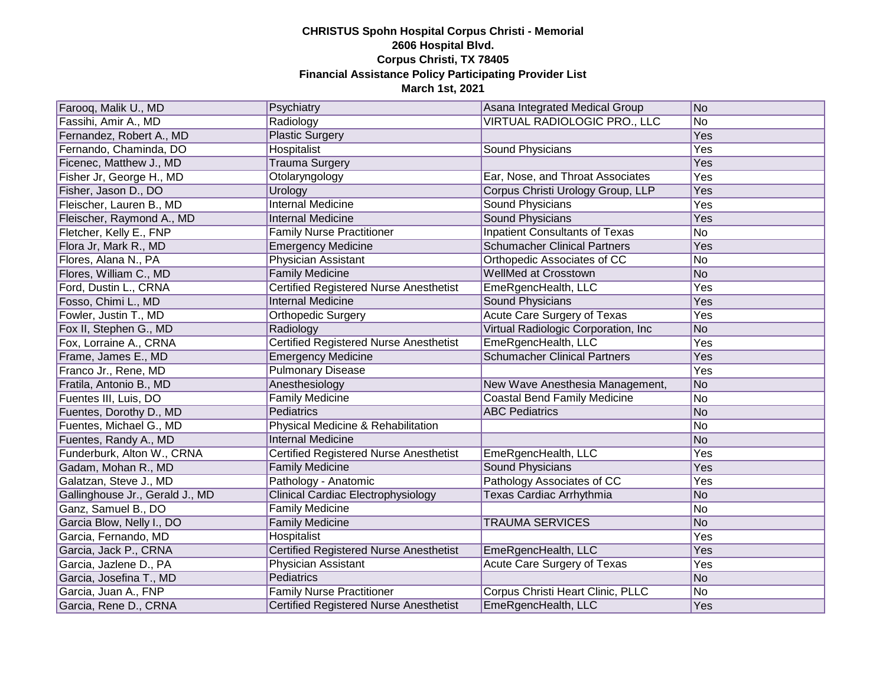| Farooq, Malik U., MD            | Psychiatry                                    | Asana Integrated Medical Group        | No  |
|---------------------------------|-----------------------------------------------|---------------------------------------|-----|
| Fassihi, Amir A., MD            | Radiology                                     | VIRTUAL RADIOLOGIC PRO., LLC          | No  |
| Fernandez, Robert A., MD        | <b>Plastic Surgery</b>                        |                                       | Yes |
| Fernando, Chaminda, DO          | Hospitalist                                   | Sound Physicians                      | Yes |
| Ficenec, Matthew J., MD         | <b>Trauma Surgery</b>                         |                                       | Yes |
| Fisher Jr, George H., MD        | Otolaryngology                                | Ear, Nose, and Throat Associates      | Yes |
| Fisher, Jason D., DO            | Urology                                       | Corpus Christi Urology Group, LLP     | Yes |
| Fleischer, Lauren B., MD        | <b>Internal Medicine</b>                      | <b>Sound Physicians</b>               | Yes |
| Fleischer, Raymond A., MD       | <b>Internal Medicine</b>                      | <b>Sound Physicians</b>               | Yes |
| Fletcher, Kelly E., FNP         | <b>Family Nurse Practitioner</b>              | <b>Inpatient Consultants of Texas</b> | No  |
| Flora Jr, Mark R., MD           | <b>Emergency Medicine</b>                     | <b>Schumacher Clinical Partners</b>   | Yes |
| Flores, Alana N., PA            | Physician Assistant                           | Orthopedic Associates of CC           | No  |
| Flores, William C., MD          | <b>Family Medicine</b>                        | WellMed at Crosstown                  | No  |
| Ford, Dustin L., CRNA           | Certified Registered Nurse Anesthetist        | EmeRgencHealth, LLC                   | Yes |
| Fosso, Chimi L., MD             | <b>Internal Medicine</b>                      | Sound Physicians                      | Yes |
| Fowler, Justin T., MD           | Orthopedic Surgery                            | <b>Acute Care Surgery of Texas</b>    | Yes |
| Fox II, Stephen G., MD          | Radiology                                     | Virtual Radiologic Corporation, Inc.  | No  |
| Fox, Lorraine A., CRNA          | Certified Registered Nurse Anesthetist        | EmeRgencHealth, LLC                   | Yes |
| Frame, James E., MD             | <b>Emergency Medicine</b>                     | <b>Schumacher Clinical Partners</b>   | Yes |
| Franco Jr., Rene, MD            | <b>Pulmonary Disease</b>                      |                                       | Yes |
| Fratila, Antonio B., MD         | Anesthesiology                                | New Wave Anesthesia Management,       | No  |
| Fuentes III, Luis, DO           | <b>Family Medicine</b>                        | <b>Coastal Bend Family Medicine</b>   | No  |
| Fuentes, Dorothy D., MD         | Pediatrics                                    | <b>ABC Pediatrics</b>                 | No  |
| Fuentes, Michael G., MD         | Physical Medicine & Rehabilitation            |                                       | No  |
| Fuentes, Randy A., MD           | <b>Internal Medicine</b>                      |                                       | No  |
| Funderburk, Alton W., CRNA      | <b>Certified Registered Nurse Anesthetist</b> | EmeRgencHealth, LLC                   | Yes |
| Gadam, Mohan R., MD             | <b>Family Medicine</b>                        | <b>Sound Physicians</b>               | Yes |
| Galatzan, Steve J., MD          | Pathology - Anatomic                          | Pathology Associates of CC            | Yes |
| Gallinghouse Jr., Gerald J., MD | <b>Clinical Cardiac Electrophysiology</b>     | <b>Texas Cardiac Arrhythmia</b>       | No  |
| Ganz, Samuel B., DO             | <b>Family Medicine</b>                        |                                       | No  |
| Garcia Blow, Nelly I., DO       | <b>Family Medicine</b>                        | <b>TRAUMA SERVICES</b>                | No  |
| Garcia, Fernando, MD            | Hospitalist                                   |                                       | Yes |
| Garcia, Jack P., CRNA           | Certified Registered Nurse Anesthetist        | EmeRgencHealth, LLC                   | Yes |
| Garcia, Jazlene D., PA          | Physician Assistant                           | Acute Care Surgery of Texas           | Yes |
| Garcia, Josefina T., MD         | Pediatrics                                    |                                       | No  |
| Garcia, Juan A., FNP            | <b>Family Nurse Practitioner</b>              | Corpus Christi Heart Clinic, PLLC     | No  |
| Garcia, Rene D., CRNA           | Certified Registered Nurse Anesthetist        | EmeRgencHealth, LLC                   | Yes |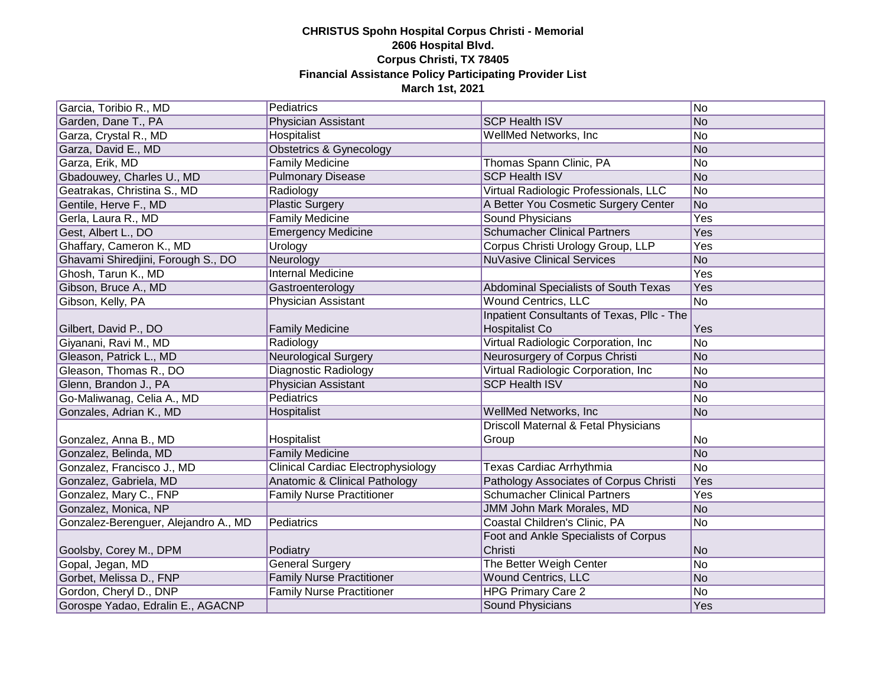| Garcia, Toribio R., MD               | Pediatrics                                |                                            | No         |
|--------------------------------------|-------------------------------------------|--------------------------------------------|------------|
| Garden, Dane T., PA                  | Physician Assistant                       | <b>SCP Health ISV</b>                      | No         |
| Garza, Crystal R., MD                | Hospitalist                               | WellMed Networks, Inc                      | No         |
| Garza, David E., MD                  | Obstetrics & Gynecology                   |                                            | No         |
| Garza, Erik, MD                      | <b>Family Medicine</b>                    | Thomas Spann Clinic, PA                    | No         |
| Gbadouwey, Charles U., MD            | <b>Pulmonary Disease</b>                  | <b>SCP Health ISV</b>                      | No         |
| Geatrakas, Christina S., MD          | Radiology                                 | Virtual Radiologic Professionals, LLC      | No         |
| Gentile, Herve F., MD                | <b>Plastic Surgery</b>                    | A Better You Cosmetic Surgery Center       | No         |
| Gerla, Laura R., MD                  | <b>Family Medicine</b>                    | <b>Sound Physicians</b>                    | <b>Yes</b> |
| Gest, Albert L., DO                  | <b>Emergency Medicine</b>                 | <b>Schumacher Clinical Partners</b>        | Yes        |
| Ghaffary, Cameron K., MD             | Urology                                   | Corpus Christi Urology Group, LLP          | <b>Yes</b> |
| Ghavami Shiredjini, Forough S., DO   | Neurology                                 | <b>NuVasive Clinical Services</b>          | No         |
| Ghosh, Tarun K., MD                  | <b>Internal Medicine</b>                  |                                            | Yes        |
| Gibson, Bruce A., MD                 | Gastroenterology                          | Abdominal Specialists of South Texas       | Yes        |
| Gibson, Kelly, PA                    | Physician Assistant                       | <b>Wound Centrics, LLC</b>                 | No         |
|                                      |                                           | Inpatient Consultants of Texas, Pllc - The |            |
| Gilbert, David P., DO                | <b>Family Medicine</b>                    | Hospitalist Co                             | Yes        |
| Giyanani, Ravi M., MD                | Radiology                                 | Virtual Radiologic Corporation, Inc.       | No         |
| Gleason, Patrick L., MD              | <b>Neurological Surgery</b>               | Neurosurgery of Corpus Christi             | No         |
| Gleason, Thomas R., DO               | Diagnostic Radiology                      | Virtual Radiologic Corporation, Inc.       | No         |
| Glenn, Brandon J., PA                | Physician Assistant                       | <b>SCP Health ISV</b>                      | No         |
| Go-Maliwanag, Celia A., MD           | <b>Pediatrics</b>                         |                                            | No         |
| Gonzales, Adrian K., MD              | Hospitalist                               | WellMed Networks, Inc                      | No         |
|                                      |                                           | Driscoll Maternal & Fetal Physicians       |            |
| Gonzalez, Anna B., MD                | Hospitalist                               | Group                                      | No         |
| Gonzalez, Belinda, MD                | <b>Family Medicine</b>                    |                                            | No         |
| Gonzalez, Francisco J., MD           | <b>Clinical Cardiac Electrophysiology</b> | Texas Cardiac Arrhythmia                   | No         |
| Gonzalez, Gabriela, MD               | Anatomic & Clinical Pathology             | Pathology Associates of Corpus Christi     | Yes        |
| Gonzalez, Mary C., FNP               | <b>Family Nurse Practitioner</b>          | <b>Schumacher Clinical Partners</b>        | Yes        |
| Gonzalez, Monica, NP                 |                                           | JMM John Mark Morales, MD                  | No         |
| Gonzalez-Berenguer, Alejandro A., MD | Pediatrics                                | Coastal Children's Clinic, PA              | No         |
|                                      |                                           | Foot and Ankle Specialists of Corpus       |            |
| Goolsby, Corey M., DPM               | Podiatry                                  | Christi                                    | No         |
| Gopal, Jegan, MD                     | <b>General Surgery</b>                    | The Better Weigh Center                    | No         |
| Gorbet, Melissa D., FNP              | <b>Family Nurse Practitioner</b>          | <b>Wound Centrics, LLC</b>                 | No         |
| Gordon, Cheryl D., DNP               | <b>Family Nurse Practitioner</b>          | <b>HPG Primary Care 2</b>                  | No         |
| Gorospe Yadao, Edralin E., AGACNP    |                                           | Sound Physicians                           | Yes        |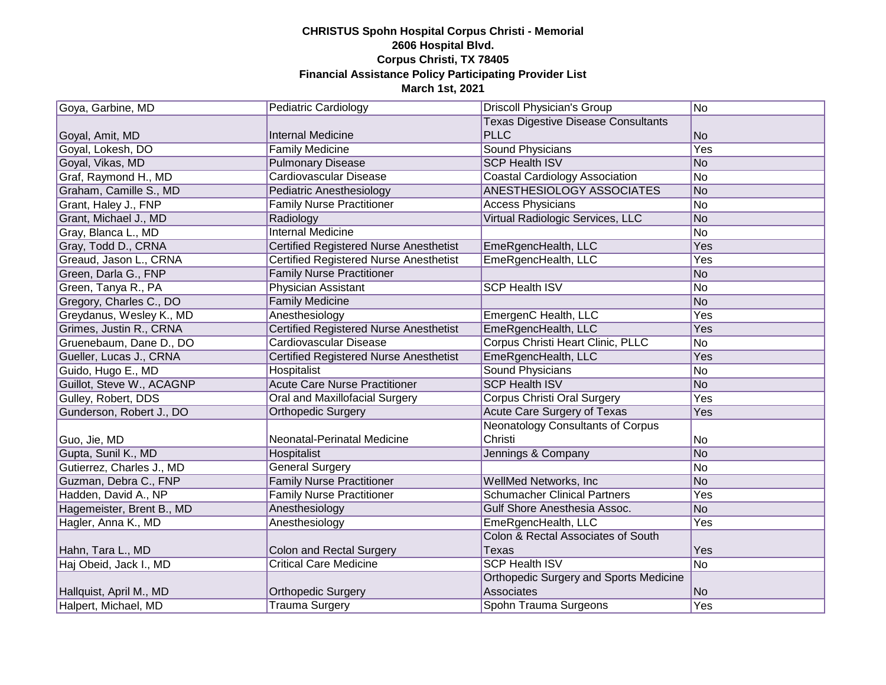| Goya, Garbine, MD         | <b>Pediatric Cardiology</b>                   | <b>Driscoll Physician's Group</b>             | No         |
|---------------------------|-----------------------------------------------|-----------------------------------------------|------------|
|                           |                                               | <b>Texas Digestive Disease Consultants</b>    |            |
| Goyal, Amit, MD           | <b>Internal Medicine</b>                      | <b>PLLC</b>                                   | No         |
| Goyal, Lokesh, DO         | <b>Family Medicine</b>                        | <b>Sound Physicians</b>                       | <b>Yes</b> |
| Goyal, Vikas, MD          | <b>Pulmonary Disease</b>                      | <b>SCP Health ISV</b>                         | No         |
| Graf, Raymond H., MD      | Cardiovascular Disease                        | <b>Coastal Cardiology Association</b>         | No         |
| Graham, Camille S., MD    | Pediatric Anesthesiology                      | ANESTHESIOLOGY ASSOCIATES                     | No         |
| Grant, Haley J., FNP      | <b>Family Nurse Practitioner</b>              | <b>Access Physicians</b>                      | No         |
| Grant, Michael J., MD     | Radiology                                     | Virtual Radiologic Services, LLC              | No         |
| Gray, Blanca L., MD       | <b>Internal Medicine</b>                      |                                               | No         |
| Gray, Todd D., CRNA       | Certified Registered Nurse Anesthetist        | EmeRgencHealth, LLC                           | Yes        |
| Greaud, Jason L., CRNA    | Certified Registered Nurse Anesthetist        | EmeRgencHealth, LLC                           | Yes        |
| Green, Darla G., FNP      | <b>Family Nurse Practitioner</b>              |                                               | No         |
| Green, Tanya R., PA       | Physician Assistant                           | <b>SCP Health ISV</b>                         | No         |
| Gregory, Charles C., DO   | <b>Family Medicine</b>                        |                                               | No         |
| Greydanus, Wesley K., MD  | Anesthesiology                                | EmergenC Health, LLC                          | Yes        |
| Grimes, Justin R., CRNA   | Certified Registered Nurse Anesthetist        | EmeRgencHealth, LLC                           | Yes        |
| Gruenebaum, Dane D., DO   | Cardiovascular Disease                        | Corpus Christi Heart Clinic, PLLC             | No         |
| Gueller, Lucas J., CRNA   | <b>Certified Registered Nurse Anesthetist</b> | EmeRgencHealth, LLC                           | Yes        |
| Guido, Hugo E., MD        | Hospitalist                                   | <b>Sound Physicians</b>                       | No         |
| Guillot, Steve W., ACAGNP | <b>Acute Care Nurse Practitioner</b>          | <b>SCP Health ISV</b>                         | No         |
| Gulley, Robert, DDS       | <b>Oral and Maxillofacial Surgery</b>         | <b>Corpus Christi Oral Surgery</b>            | Yes        |
| Gunderson, Robert J., DO  | <b>Orthopedic Surgery</b>                     | Acute Care Surgery of Texas                   | Yes        |
|                           |                                               | <b>Neonatology Consultants of Corpus</b>      |            |
| Guo, Jie, MD              | Neonatal-Perinatal Medicine                   | Christi                                       | No         |
| Gupta, Sunil K., MD       | Hospitalist                                   | Jennings & Company                            | No         |
| Gutierrez, Charles J., MD | <b>General Surgery</b>                        |                                               | No         |
| Guzman, Debra C., FNP     | <b>Family Nurse Practitioner</b>              | <b>WellMed Networks, Inc.</b>                 | No         |
| Hadden, David A., NP      | <b>Family Nurse Practitioner</b>              | <b>Schumacher Clinical Partners</b>           | Yes        |
| Hagemeister, Brent B., MD | Anesthesiology                                | Gulf Shore Anesthesia Assoc.                  | No         |
| Hagler, Anna K., MD       | Anesthesiology                                | EmeRgencHealth, LLC                           | Yes        |
|                           |                                               | Colon & Rectal Associates of South            |            |
| Hahn, Tara L., MD         | Colon and Rectal Surgery                      | <b>Texas</b>                                  | Yes        |
| Haj Obeid, Jack I., MD    | <b>Critical Care Medicine</b>                 | <b>SCP Health ISV</b>                         | No         |
|                           |                                               | <b>Orthopedic Surgery and Sports Medicine</b> |            |
| Hallquist, April M., MD   | Orthopedic Surgery                            | Associates                                    | No         |
| Halpert, Michael, MD      | <b>Trauma Surgery</b>                         | Spohn Trauma Surgeons                         | Yes        |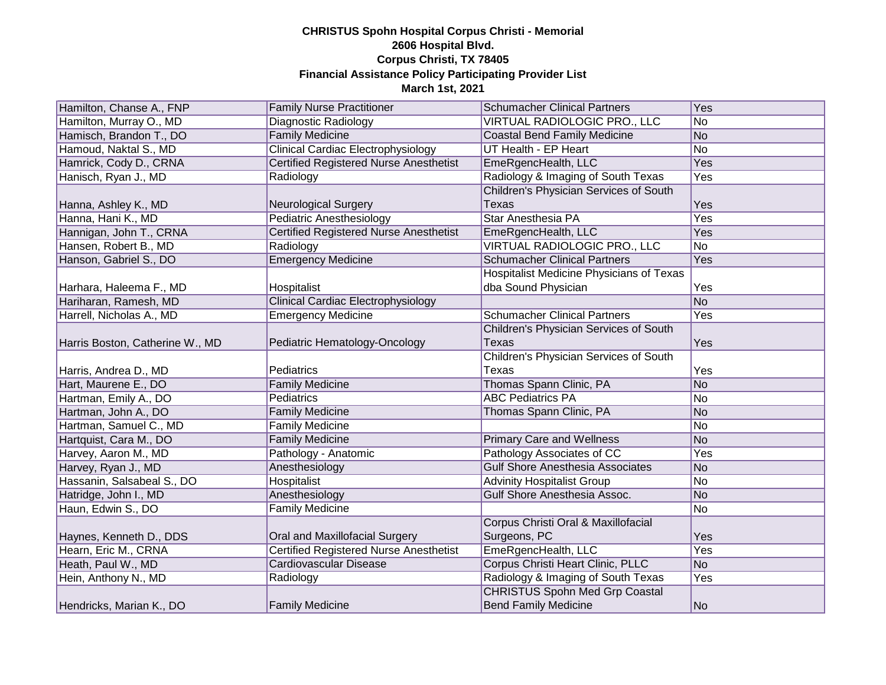| Hamilton, Chanse A., FNP        | <b>Family Nurse Practitioner</b>              | <b>Schumacher Clinical Partners</b>      | Yes            |
|---------------------------------|-----------------------------------------------|------------------------------------------|----------------|
| Hamilton, Murray O., MD         | Diagnostic Radiology                          | VIRTUAL RADIOLOGIC PRO., LLC             | No             |
| Hamisch, Brandon T., DO         | <b>Family Medicine</b>                        | <b>Coastal Bend Family Medicine</b>      | No             |
| Hamoud, Naktal S., MD           | <b>Clinical Cardiac Electrophysiology</b>     | UT Health - EP Heart                     | N <sub>o</sub> |
| Hamrick, Cody D., CRNA          | <b>Certified Registered Nurse Anesthetist</b> | EmeRgencHealth, LLC                      | <b>Yes</b>     |
| Hanisch, Ryan J., MD            | Radiology                                     | Radiology & Imaging of South Texas       | <b>Yes</b>     |
|                                 |                                               | Children's Physician Services of South   |                |
| Hanna, Ashley K., MD            | <b>Neurological Surgery</b>                   | Texas                                    | Yes            |
| Hanna, Hani K., MD              | <b>Pediatric Anesthesiology</b>               | <b>Star Anesthesia PA</b>                | Yes            |
| Hannigan, John T., CRNA         | <b>Certified Registered Nurse Anesthetist</b> | EmeRgencHealth, LLC                      | Yes            |
| Hansen, Robert B., MD           | Radiology                                     | VIRTUAL RADIOLOGIC PRO., LLC             | No             |
| Hanson, Gabriel S., DO          | <b>Emergency Medicine</b>                     | <b>Schumacher Clinical Partners</b>      | Yes            |
|                                 |                                               | Hospitalist Medicine Physicians of Texas |                |
| Harhara, Haleema F., MD         | Hospitalist                                   | dba Sound Physician                      | Yes            |
| Hariharan, Ramesh, MD           | <b>Clinical Cardiac Electrophysiology</b>     |                                          | N <sub>o</sub> |
| Harrell, Nicholas A., MD        | <b>Emergency Medicine</b>                     | <b>Schumacher Clinical Partners</b>      | Yes            |
|                                 |                                               | Children's Physician Services of South   |                |
| Harris Boston, Catherine W., MD | Pediatric Hematology-Oncology                 | <b>Texas</b>                             | Yes            |
|                                 |                                               | Children's Physician Services of South   |                |
| Harris, Andrea D., MD           | Pediatrics                                    | Texas                                    | Yes            |
| Hart, Maurene E., DO            | <b>Family Medicine</b>                        | Thomas Spann Clinic, PA                  | No             |
| Hartman, Emily A., DO           | Pediatrics                                    | <b>ABC Pediatrics PA</b>                 | No             |
| Hartman, John A., DO            | <b>Family Medicine</b>                        | Thomas Spann Clinic, PA                  | No             |
| Hartman, Samuel C., MD          | Family Medicine                               |                                          | No             |
| Hartquist, Cara M., DO          | <b>Family Medicine</b>                        | <b>Primary Care and Wellness</b>         | No             |
| Harvey, Aaron M., MD            | Pathology - Anatomic                          | Pathology Associates of CC               | Yes            |
| Harvey, Ryan J., MD             | Anesthesiology                                | <b>Gulf Shore Anesthesia Associates</b>  | No             |
| Hassanin, Salsabeal S., DO      | <b>Hospitalist</b>                            | <b>Advinity Hospitalist Group</b>        | No             |
| Hatridge, John I., MD           | Anesthesiology                                | Gulf Shore Anesthesia Assoc.             | No             |
| Haun, Edwin S., DO              | <b>Family Medicine</b>                        |                                          | No             |
|                                 |                                               | Corpus Christi Oral & Maxillofacial      |                |
| Haynes, Kenneth D., DDS         | Oral and Maxillofacial Surgery                | Surgeons, PC                             | Yes            |
| Hearn, Eric M., CRNA            | <b>Certified Registered Nurse Anesthetist</b> | EmeRgencHealth, LLC                      | Yes            |
| Heath, Paul W., MD              | <b>Cardiovascular Disease</b>                 | Corpus Christi Heart Clinic, PLLC        | N <sub>o</sub> |
| Hein, Anthony N., MD            | Radiology                                     | Radiology & Imaging of South Texas       | Yes            |
|                                 |                                               | <b>CHRISTUS Spohn Med Grp Coastal</b>    |                |
| Hendricks, Marian K., DO        | <b>Family Medicine</b>                        | <b>Bend Family Medicine</b>              | No             |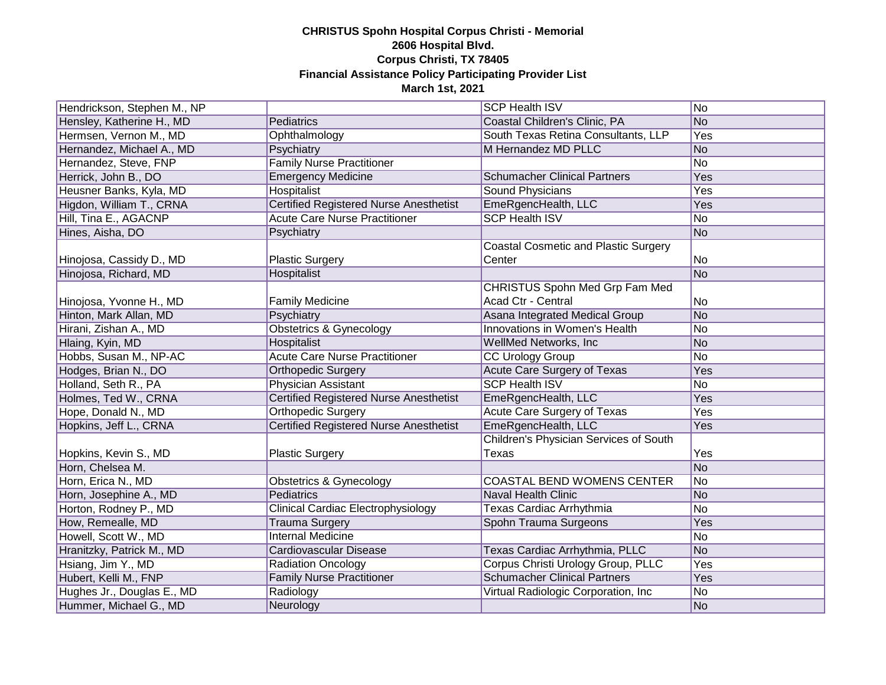| Hendrickson, Stephen M., NP |                                               | <b>SCP Health ISV</b>                       | No             |
|-----------------------------|-----------------------------------------------|---------------------------------------------|----------------|
| Hensley, Katherine H., MD   | Pediatrics                                    | Coastal Children's Clinic, PA               | No             |
| Hermsen, Vernon M., MD      | Ophthalmology                                 | South Texas Retina Consultants, LLP         | Yes            |
| Hernandez, Michael A., MD   | Psychiatry                                    | M Hernandez MD PLLC                         | No             |
| Hernandez, Steve, FNP       | <b>Family Nurse Practitioner</b>              |                                             | N <sub>o</sub> |
| Herrick, John B., DO        | <b>Emergency Medicine</b>                     | <b>Schumacher Clinical Partners</b>         | <b>Yes</b>     |
| Heusner Banks, Kyla, MD     | Hospitalist                                   | <b>Sound Physicians</b>                     | Yes            |
| Higdon, William T., CRNA    | <b>Certified Registered Nurse Anesthetist</b> | EmeRgencHealth, LLC                         | Yes            |
| Hill, Tina E., AGACNP       | <b>Acute Care Nurse Practitioner</b>          | <b>SCP Health ISV</b>                       | No             |
| Hines, Aisha, DO            | Psychiatry                                    |                                             | No             |
|                             |                                               | <b>Coastal Cosmetic and Plastic Surgery</b> |                |
| Hinojosa, Cassidy D., MD    | <b>Plastic Surgery</b>                        | Center                                      | No             |
| Hinojosa, Richard, MD       | Hospitalist                                   |                                             | No             |
|                             |                                               | CHRISTUS Spohn Med Grp Fam Med              |                |
| Hinojosa, Yvonne H., MD     | <b>Family Medicine</b>                        | Acad Ctr - Central                          | No             |
| Hinton, Mark Allan, MD      | Psychiatry                                    | Asana Integrated Medical Group              | No             |
| Hirani, Zishan A., MD       | <b>Obstetrics &amp; Gynecology</b>            | Innovations in Women's Health               | No             |
| Hlaing, Kyin, MD            | <b>Hospitalist</b>                            | WellMed Networks, Inc                       | No             |
| Hobbs, Susan M., NP-AC      | <b>Acute Care Nurse Practitioner</b>          | <b>CC Urology Group</b>                     | No             |
| Hodges, Brian N., DO        | <b>Orthopedic Surgery</b>                     | <b>Acute Care Surgery of Texas</b>          | Yes            |
| Holland, Seth R., PA        | Physician Assistant                           | <b>SCP Health ISV</b>                       | No             |
| Holmes, Ted W., CRNA        | <b>Certified Registered Nurse Anesthetist</b> | EmeRgencHealth, LLC                         | Yes            |
| Hope, Donald N., MD         | <b>Orthopedic Surgery</b>                     | Acute Care Surgery of Texas                 | Yes            |
| Hopkins, Jeff L., CRNA      | <b>Certified Registered Nurse Anesthetist</b> | EmeRgencHealth, LLC                         | Yes            |
|                             |                                               | Children's Physician Services of South      |                |
| Hopkins, Kevin S., MD       | <b>Plastic Surgery</b>                        | Texas                                       | Yes            |
| Horn, Chelsea M.            |                                               |                                             | No             |
| Horn, Erica N., MD          | <b>Obstetrics &amp; Gynecology</b>            | <b>COASTAL BEND WOMENS CENTER</b>           | No             |
| Horn, Josephine A., MD      | Pediatrics                                    | <b>Naval Health Clinic</b>                  | No             |
| Horton, Rodney P., MD       | <b>Clinical Cardiac Electrophysiology</b>     | Texas Cardiac Arrhythmia                    | No             |
| How, Remealle, MD           | <b>Trauma Surgery</b>                         | Spohn Trauma Surgeons                       | Yes            |
| Howell, Scott W., MD        | <b>Internal Medicine</b>                      |                                             | No             |
| Hranitzky, Patrick M., MD   | Cardiovascular Disease                        | Texas Cardiac Arrhythmia, PLLC              | No             |
| Hsiang, Jim Y., MD          | <b>Radiation Oncology</b>                     | Corpus Christi Urology Group, PLLC          | Yes            |
| Hubert, Kelli M., FNP       | <b>Family Nurse Practitioner</b>              | <b>Schumacher Clinical Partners</b>         | Yes            |
| Hughes Jr., Douglas E., MD  | Radiology                                     | Virtual Radiologic Corporation, Inc         | No             |
| Hummer, Michael G., MD      | Neurology                                     |                                             | No             |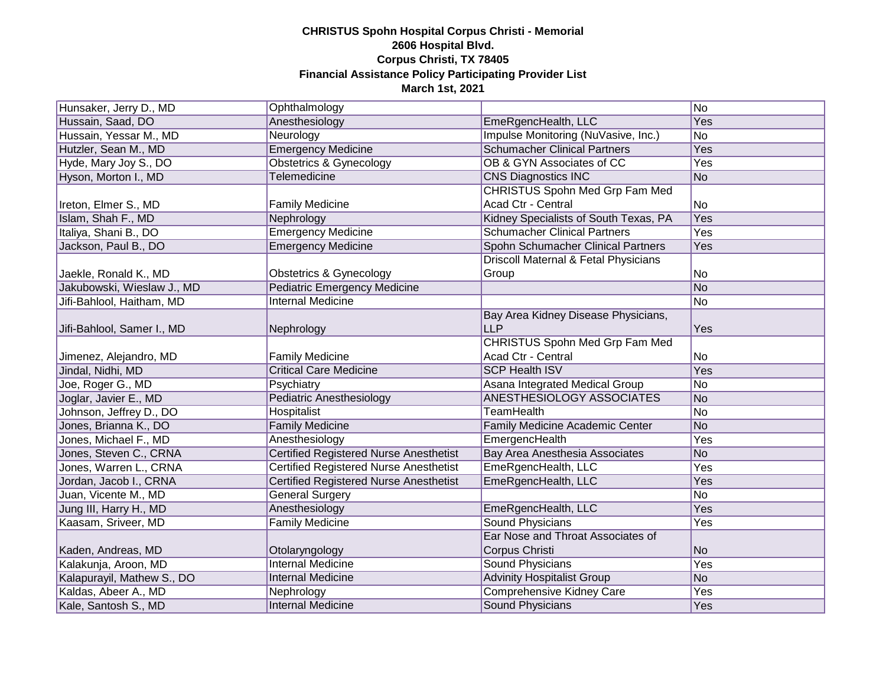| Hunsaker, Jerry D., MD     | Ophthalmology                                 |                                       | No             |
|----------------------------|-----------------------------------------------|---------------------------------------|----------------|
| Hussain, Saad, DO          | Anesthesiology                                | EmeRgencHealth, LLC                   | Yes            |
| Hussain, Yessar M., MD     | Neurology                                     | Impulse Monitoring (NuVasive, Inc.)   | No             |
| Hutzler, Sean M., MD       | <b>Emergency Medicine</b>                     | <b>Schumacher Clinical Partners</b>   | Yes            |
| Hyde, Mary Joy S., DO      | <b>Obstetrics &amp; Gynecology</b>            | OB & GYN Associates of CC             | Yes            |
| Hyson, Morton I., MD       | Telemedicine                                  | <b>CNS Diagnostics INC</b>            | No             |
|                            |                                               | CHRISTUS Spohn Med Grp Fam Med        |                |
| Ireton, Elmer S., MD       | <b>Family Medicine</b>                        | Acad Ctr - Central                    | No             |
| Islam, Shah F., MD         | Nephrology                                    | Kidney Specialists of South Texas, PA | <b>Yes</b>     |
| Italiya, Shani B., DO      | <b>Emergency Medicine</b>                     | <b>Schumacher Clinical Partners</b>   | <b>Yes</b>     |
| Jackson, Paul B., DO       | <b>Emergency Medicine</b>                     | Spohn Schumacher Clinical Partners    | Yes            |
|                            |                                               | Driscoll Maternal & Fetal Physicians  |                |
| Jaekle, Ronald K., MD      | <b>Obstetrics &amp; Gynecology</b>            | Group                                 | No             |
| Jakubowski, Wieslaw J., MD | Pediatric Emergency Medicine                  |                                       | No             |
| Jifi-Bahlool, Haitham, MD  | <b>Internal Medicine</b>                      |                                       | No             |
|                            |                                               | Bay Area Kidney Disease Physicians,   |                |
| Jifi-Bahlool, Samer I., MD | Nephrology                                    | <b>LLP</b>                            | Yes            |
|                            |                                               | CHRISTUS Spohn Med Grp Fam Med        |                |
| Jimenez, Alejandro, MD     | <b>Family Medicine</b>                        | Acad Ctr - Central                    | No             |
| Jindal, Nidhi, MD          | <b>Critical Care Medicine</b>                 | <b>SCP Health ISV</b>                 | Yes            |
| Joe, Roger G., MD          | Psychiatry                                    | Asana Integrated Medical Group        | No             |
| Joglar, Javier E., MD      | <b>Pediatric Anesthesiology</b>               | ANESTHESIOLOGY ASSOCIATES             | No             |
| Johnson, Jeffrey D., DO    | Hospitalist                                   | <b>TeamHealth</b>                     | No             |
| Jones, Brianna K., DO      | <b>Family Medicine</b>                        | Family Medicine Academic Center       | No             |
| Jones, Michael F., MD      | Anesthesiology                                | EmergencHealth                        | Yes            |
| Jones, Steven C., CRNA     | <b>Certified Registered Nurse Anesthetist</b> | Bay Area Anesthesia Associates        | N <sub>o</sub> |
| Jones, Warren L., CRNA     | <b>Certified Registered Nurse Anesthetist</b> | EmeRgencHealth, LLC                   | Yes            |
| Jordan, Jacob I., CRNA     | <b>Certified Registered Nurse Anesthetist</b> | EmeRgencHealth, LLC                   | Yes            |
| Juan, Vicente M., MD       | <b>General Surgery</b>                        |                                       | No             |
| Jung III, Harry H., MD     | Anesthesiology                                | EmeRgencHealth, LLC                   | Yes            |
| Kaasam, Sriveer, MD        | <b>Family Medicine</b>                        | <b>Sound Physicians</b>               | Yes            |
|                            |                                               | Ear Nose and Throat Associates of     |                |
| Kaden, Andreas, MD         | Otolaryngology                                | Corpus Christi                        | N <sub>o</sub> |
| Kalakunja, Aroon, MD       | <b>Internal Medicine</b>                      | <b>Sound Physicians</b>               | Yes            |
| Kalapurayil, Mathew S., DO | <b>Internal Medicine</b>                      | <b>Advinity Hospitalist Group</b>     | No             |
| Kaldas, Abeer A., MD       | Nephrology                                    | <b>Comprehensive Kidney Care</b>      | Yes            |
| Kale, Santosh S., MD       | <b>Internal Medicine</b>                      | <b>Sound Physicians</b>               | Yes            |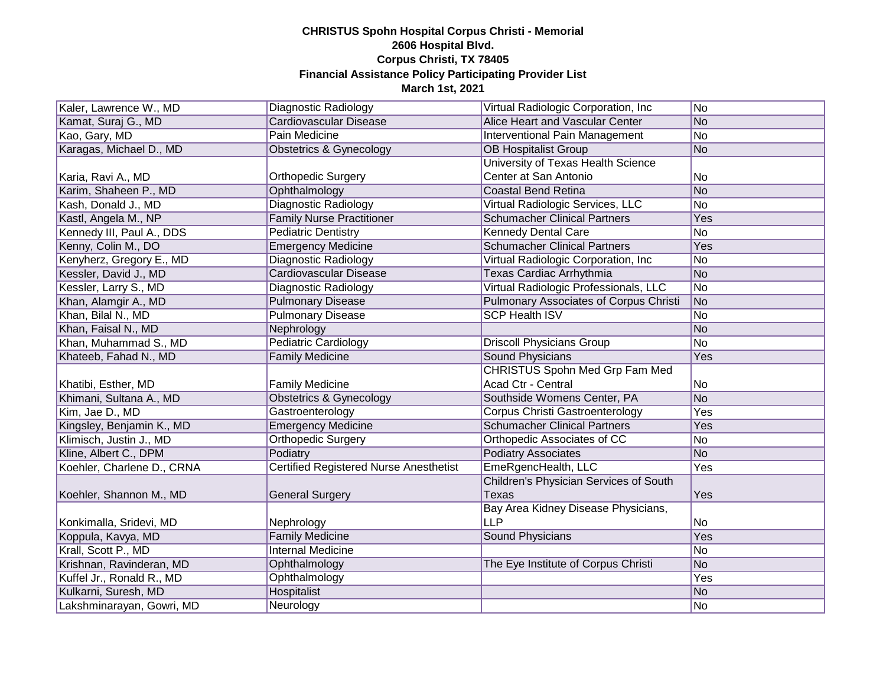| Kaler, Lawrence W., MD     | Diagnostic Radiology                   | Virtual Radiologic Corporation, Inc.          | No  |
|----------------------------|----------------------------------------|-----------------------------------------------|-----|
| Kamat, Suraj G., MD        | Cardiovascular Disease                 | Alice Heart and Vascular Center               | No  |
| Kao, Gary, MD              | <b>Pain Medicine</b>                   | Interventional Pain Management                | No  |
| Karagas, Michael D., MD    | <b>Obstetrics &amp; Gynecology</b>     | <b>OB Hospitalist Group</b>                   | No  |
|                            |                                        | University of Texas Health Science            |     |
| Karia, Ravi A., MD         | <b>Orthopedic Surgery</b>              | Center at San Antonio                         | No  |
| Karim, Shaheen P., MD      | Ophthalmology                          | <b>Coastal Bend Retina</b>                    | No  |
| Kash, Donald J., MD        | Diagnostic Radiology                   | Virtual Radiologic Services, LLC              | No  |
| Kastl, Angela M., NP       | <b>Family Nurse Practitioner</b>       | <b>Schumacher Clinical Partners</b>           | Yes |
| Kennedy III, Paul A., DDS  | <b>Pediatric Dentistry</b>             | <b>Kennedy Dental Care</b>                    | No  |
| Kenny, Colin M., DO        | <b>Emergency Medicine</b>              | <b>Schumacher Clinical Partners</b>           | Yes |
| Kenyherz, Gregory E., MD   | Diagnostic Radiology                   | Virtual Radiologic Corporation, Inc           | No  |
| Kessler, David J., MD      | Cardiovascular Disease                 | Texas Cardiac Arrhythmia                      | No  |
| Kessler, Larry S., MD      | Diagnostic Radiology                   | Virtual Radiologic Professionals, LLC         | No  |
| Khan, Alamgir A., MD       | <b>Pulmonary Disease</b>               | <b>Pulmonary Associates of Corpus Christi</b> | No  |
| Khan, Bilal N., MD         | <b>Pulmonary Disease</b>               | <b>SCP Health ISV</b>                         | No  |
| Khan, Faisal N., MD        | Nephrology                             |                                               | No  |
| Khan, Muhammad S., MD      | <b>Pediatric Cardiology</b>            | <b>Driscoll Physicians Group</b>              | No  |
| Khateeb, Fahad N., MD      | <b>Family Medicine</b>                 | Sound Physicians                              | Yes |
|                            |                                        | <b>CHRISTUS Spohn Med Grp Fam Med</b>         |     |
| Khatibi, Esther, MD        | <b>Family Medicine</b>                 | Acad Ctr - Central                            | No  |
| Khimani, Sultana A., MD    | Obstetrics & Gynecology                | Southside Womens Center, PA                   | No  |
| Kim, Jae D., MD            | Gastroenterology                       | <b>Corpus Christi Gastroenterology</b>        | Yes |
| Kingsley, Benjamin K., MD  | <b>Emergency Medicine</b>              | <b>Schumacher Clinical Partners</b>           | Yes |
| Klimisch, Justin J., MD    | <b>Orthopedic Surgery</b>              | Orthopedic Associates of CC                   | No  |
| Kline, Albert C., DPM      | Podiatry                               | <b>Podiatry Associates</b>                    | No  |
| Koehler, Charlene D., CRNA | Certified Registered Nurse Anesthetist | EmeRgencHealth, LLC                           | Yes |
|                            |                                        | Children's Physician Services of South        |     |
| Koehler, Shannon M., MD    | <b>General Surgery</b>                 | <b>Texas</b>                                  | Yes |
|                            |                                        | Bay Area Kidney Disease Physicians,           |     |
| Konkimalla, Sridevi, MD    | Nephrology                             | <b>LLP</b>                                    | No  |
| Koppula, Kavya, MD         | <b>Family Medicine</b>                 | <b>Sound Physicians</b>                       | Yes |
| Krall, Scott P., MD        | Internal Medicine                      |                                               | No  |
| Krishnan, Ravinderan, MD   | Ophthalmology                          | The Eye Institute of Corpus Christi           | No  |
| Kuffel Jr., Ronald R., MD  | Ophthalmology                          |                                               | Yes |
| Kulkarni, Suresh, MD       | Hospitalist                            |                                               | No  |
| Lakshminarayan, Gowri, MD  | Neurology                              |                                               | No  |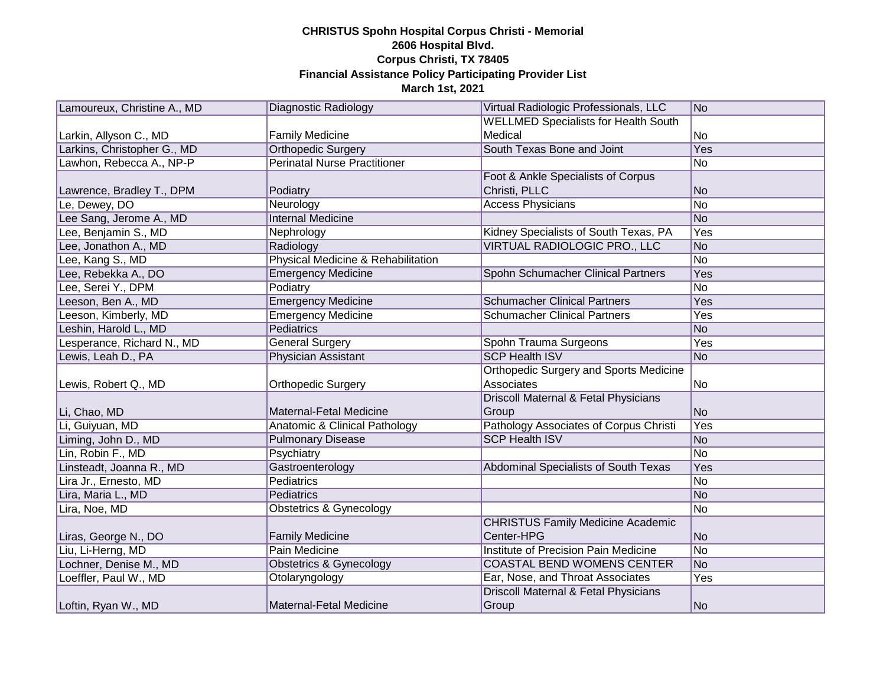| Lamoureux, Christine A., MD | Diagnostic Radiology                     | Virtual Radiologic Professionals, LLC           | No         |
|-----------------------------|------------------------------------------|-------------------------------------------------|------------|
|                             |                                          | <b>WELLMED Specialists for Health South</b>     |            |
| Larkin, Allyson C., MD      | <b>Family Medicine</b>                   | Medical                                         | No         |
| Larkins, Christopher G., MD | <b>Orthopedic Surgery</b>                | South Texas Bone and Joint                      | Yes        |
| Lawhon, Rebecca A., NP-P    | <b>Perinatal Nurse Practitioner</b>      |                                                 | No         |
|                             |                                          | Foot & Ankle Specialists of Corpus              |            |
| Lawrence, Bradley T., DPM   | Podiatry                                 | Christi, PLLC                                   | No         |
| Le, Dewey, DO               | Neurology                                | <b>Access Physicians</b>                        | No         |
| Lee Sang, Jerome A., MD     | <b>Internal Medicine</b>                 |                                                 | No         |
| Lee, Benjamin S., MD        | Nephrology                               | Kidney Specialists of South Texas, PA           | <b>Yes</b> |
| Lee, Jonathon A., MD        | Radiology                                | VIRTUAL RADIOLOGIC PRO., LLC                    | No         |
| Lee, Kang S., MD            | Physical Medicine & Rehabilitation       |                                                 | No         |
| Lee, Rebekka A., DO         | <b>Emergency Medicine</b>                | Spohn Schumacher Clinical Partners              | Yes        |
| Lee, Serei Y., DPM          | Podiatry                                 |                                                 | No         |
| Leeson, Ben A., MD          | <b>Emergency Medicine</b>                | <b>Schumacher Clinical Partners</b>             | Yes        |
| Leeson, Kimberly, MD        | <b>Emergency Medicine</b>                | <b>Schumacher Clinical Partners</b>             | Yes        |
| Leshin, Harold L., MD       | <b>Pediatrics</b>                        |                                                 | No         |
| Lesperance, Richard N., MD  | <b>General Surgery</b>                   | Spohn Trauma Surgeons                           | Yes        |
| Lewis, Leah D., PA          | <b>Physician Assistant</b>               | <b>SCP Health ISV</b>                           | No         |
|                             |                                          | <b>Orthopedic Surgery and Sports Medicine</b>   |            |
| Lewis, Robert Q., MD        | <b>Orthopedic Surgery</b>                | Associates                                      | No         |
|                             |                                          | <b>Driscoll Maternal &amp; Fetal Physicians</b> |            |
| Li, Chao, MD                | Maternal-Fetal Medicine                  | Group                                           | No         |
| Li, Guiyuan, MD             | <b>Anatomic &amp; Clinical Pathology</b> | Pathology Associates of Corpus Christi          | Yes        |
| Liming, John D., MD         | <b>Pulmonary Disease</b>                 | <b>SCP Health ISV</b>                           | No         |
| Lin, Robin F., MD           | Psychiatry                               |                                                 | No         |
| Linsteadt, Joanna R., MD    | Gastroenterology                         | Abdominal Specialists of South Texas            | Yes        |
| Lira Jr., Ernesto, MD       | Pediatrics                               |                                                 | No         |
| Lira, Maria L., MD          | Pediatrics                               |                                                 | No         |
| Lira, Noe, MD               | Obstetrics & Gynecology                  |                                                 | No         |
|                             |                                          | <b>CHRISTUS Family Medicine Academic</b>        |            |
| Liras, George N., DO        | <b>Family Medicine</b>                   | Center-HPG                                      | No         |
| Liu, Li-Herng, MD           | Pain Medicine                            | Institute of Precision Pain Medicine            | No         |
| Lochner, Denise M., MD      | <b>Obstetrics &amp; Gynecology</b>       | <b>COASTAL BEND WOMENS CENTER</b>               | No         |
| Loeffler, Paul W., MD       | Otolaryngology                           | Ear, Nose, and Throat Associates                | Yes        |
|                             |                                          | Driscoll Maternal & Fetal Physicians            |            |
| Loftin, Ryan W., MD         | Maternal-Fetal Medicine                  | Group                                           | No         |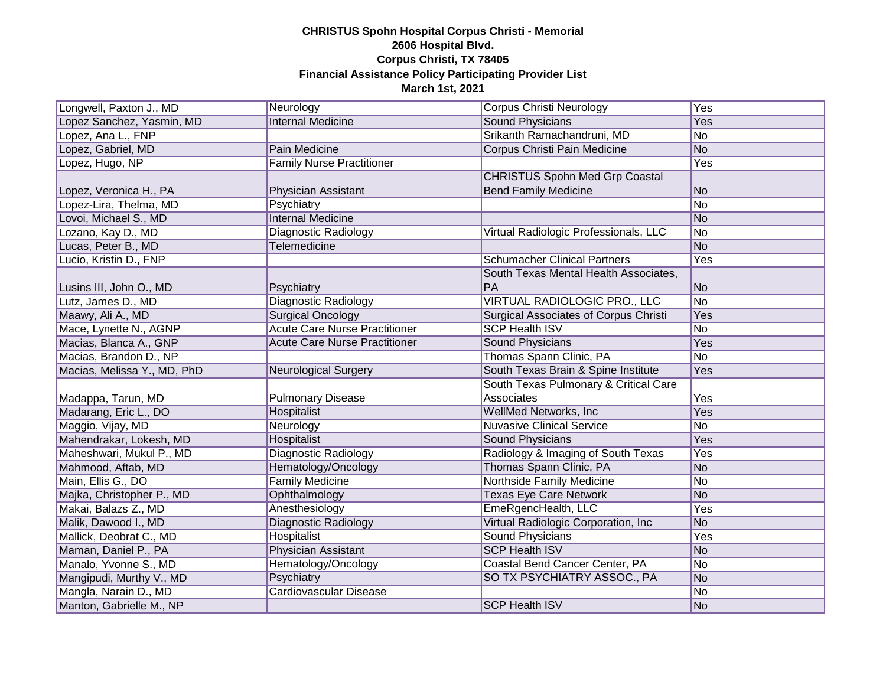| Longwell, Paxton J., MD     | Neurology                            | Corpus Christi Neurology                     | Yes |
|-----------------------------|--------------------------------------|----------------------------------------------|-----|
| Lopez Sanchez, Yasmin, MD   | <b>Internal Medicine</b>             | <b>Sound Physicians</b>                      | Yes |
| Lopez, Ana L., FNP          |                                      | Srikanth Ramachandruni, MD                   | No  |
| Lopez, Gabriel, MD          | Pain Medicine                        | Corpus Christi Pain Medicine                 | No  |
| Lopez, Hugo, NP             | <b>Family Nurse Practitioner</b>     |                                              | Yes |
|                             |                                      | <b>CHRISTUS Spohn Med Grp Coastal</b>        |     |
| Lopez, Veronica H., PA      | Physician Assistant                  | <b>Bend Family Medicine</b>                  | No  |
| Lopez-Lira, Thelma, MD      | Psychiatry                           |                                              | No  |
| Lovoi, Michael S., MD       | <b>Internal Medicine</b>             |                                              | No  |
| Lozano, Kay D., MD          | Diagnostic Radiology                 | Virtual Radiologic Professionals, LLC        | No  |
| Lucas, Peter B., MD         | Telemedicine                         |                                              | No  |
| Lucio, Kristin D., FNP      |                                      | <b>Schumacher Clinical Partners</b>          | Yes |
|                             |                                      | South Texas Mental Health Associates,        |     |
| Lusins III, John O., MD     | Psychiatry                           | PA                                           | No  |
| Lutz, James D., MD          | Diagnostic Radiology                 | VIRTUAL RADIOLOGIC PRO., LLC                 | No  |
| Maawy, Ali A., MD           | <b>Surgical Oncology</b>             | <b>Surgical Associates of Corpus Christi</b> | Yes |
| Mace, Lynette N., AGNP      | <b>Acute Care Nurse Practitioner</b> | <b>SCP Health ISV</b>                        | No  |
| Macias, Blanca A., GNP      | <b>Acute Care Nurse Practitioner</b> | <b>Sound Physicians</b>                      | Yes |
| Macias, Brandon D., NP      |                                      | Thomas Spann Clinic, PA                      | No  |
| Macias, Melissa Y., MD, PhD | Neurological Surgery                 | South Texas Brain & Spine Institute          | Yes |
|                             |                                      | South Texas Pulmonary & Critical Care        |     |
| Madappa, Tarun, MD          | <b>Pulmonary Disease</b>             | Associates                                   | Yes |
| Madarang, Eric L., DO       | Hospitalist                          | WellMed Networks, Inc.                       | Yes |
| Maggio, Vijay, MD           | Neurology                            | <b>Nuvasive Clinical Service</b>             | No  |
| Mahendrakar, Lokesh, MD     | Hospitalist                          | Sound Physicians                             | Yes |
| Maheshwari, Mukul P., MD    | <b>Diagnostic Radiology</b>          | Radiology & Imaging of South Texas           | Yes |
| Mahmood, Aftab, MD          | Hematology/Oncology                  | Thomas Spann Clinic, PA                      | No  |
| Main, Ellis G., DO          | <b>Family Medicine</b>               | Northside Family Medicine                    | No  |
| Majka, Christopher P., MD   | Ophthalmology                        | <b>Texas Eye Care Network</b>                | No  |
| Makai, Balazs Z., MD        | Anesthesiology                       | EmeRgencHealth, LLC                          | Yes |
| Malik, Dawood I., MD        | <b>Diagnostic Radiology</b>          | Virtual Radiologic Corporation, Inc.         | No  |
| Mallick, Deobrat C., MD     | Hospitalist                          | <b>Sound Physicians</b>                      | Yes |
| Maman, Daniel P., PA        | Physician Assistant                  | <b>SCP Health ISV</b>                        | No  |
| Manalo, Yvonne S., MD       | Hematology/Oncology                  | Coastal Bend Cancer Center, PA               | No  |
| Mangipudi, Murthy V., MD    | Psychiatry                           | SO TX PSYCHIATRY ASSOC., PA                  | No  |
| Mangla, Narain D., MD       | <b>Cardiovascular Disease</b>        |                                              | No  |
| Manton, Gabrielle M., NP    |                                      | <b>SCP Health ISV</b>                        | No  |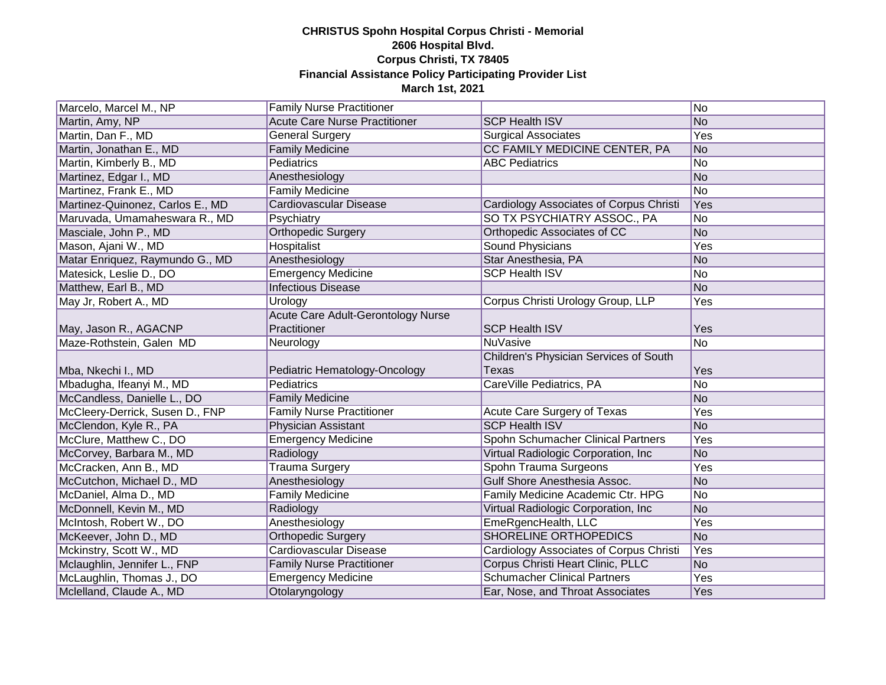| Marcelo, Marcel M., NP           | <b>Family Nurse Practitioner</b>     |                                                | No             |
|----------------------------------|--------------------------------------|------------------------------------------------|----------------|
| Martin, Amy, NP                  | <b>Acute Care Nurse Practitioner</b> | <b>SCP Health ISV</b>                          | No             |
| Martin, Dan F., MD               | <b>General Surgery</b>               | <b>Surgical Associates</b>                     | Yes            |
| Martin, Jonathan E., MD          | <b>Family Medicine</b>               | CC FAMILY MEDICINE CENTER, PA                  | No             |
| Martin, Kimberly B., MD          | Pediatrics                           | <b>ABC Pediatrics</b>                          | No             |
| Martinez, Edgar I., MD           | Anesthesiology                       |                                                | No             |
| Martinez, Frank E., MD           | <b>Family Medicine</b>               |                                                | No             |
| Martinez-Quinonez, Carlos E., MD | <b>Cardiovascular Disease</b>        | <b>Cardiology Associates of Corpus Christi</b> | Yes            |
| Maruvada, Umamaheswara R., MD    | Psychiatry                           | SO TX PSYCHIATRY ASSOC., PA                    | No             |
| Masciale, John P., MD            | <b>Orthopedic Surgery</b>            | Orthopedic Associates of CC                    | No             |
| Mason, Ajani W., MD              | Hospitalist                          | Sound Physicians                               | Yes            |
| Matar Enriquez, Raymundo G., MD  | Anesthesiology                       | Star Anesthesia, PA                            | No             |
| Matesick, Leslie D., DO          | <b>Emergency Medicine</b>            | <b>SCP Health ISV</b>                          | No             |
| Matthew, Earl B., MD             | <b>Infectious Disease</b>            |                                                | No             |
| May Jr, Robert A., MD            | Urology                              | Corpus Christi Urology Group, LLP              | Yes            |
|                                  | Acute Care Adult-Gerontology Nurse   |                                                |                |
| May, Jason R., AGACNP            | Practitioner                         | <b>SCP Health ISV</b>                          | Yes            |
| Maze-Rothstein, Galen MD         | Neurology                            | <b>NuVasive</b>                                | <b>No</b>      |
|                                  |                                      |                                                |                |
|                                  |                                      | Children's Physician Services of South         |                |
| Mba, Nkechi I., MD               | Pediatric Hematology-Oncology        | <b>Texas</b>                                   | Yes            |
| Mbadugha, Ifeanyi M., MD         | Pediatrics                           | CareVille Pediatrics, PA                       | No             |
| McCandless, Danielle L., DO      | <b>Family Medicine</b>               |                                                | No             |
| McCleery-Derrick, Susen D., FNP  | <b>Family Nurse Practitioner</b>     | Acute Care Surgery of Texas                    | Yes            |
| McClendon, Kyle R., PA           | Physician Assistant                  | <b>SCP Health ISV</b>                          | No             |
| McClure, Matthew C., DO          | <b>Emergency Medicine</b>            | Spohn Schumacher Clinical Partners             | Yes            |
| McCorvey, Barbara M., MD         | Radiology                            | Virtual Radiologic Corporation, Inc            | No             |
| McCracken, Ann B., MD            | <b>Trauma Surgery</b>                | Spohn Trauma Surgeons                          | Yes            |
| McCutchon, Michael D., MD        | Anesthesiology                       | Gulf Shore Anesthesia Assoc.                   | No             |
| McDaniel, Alma D., MD            | <b>Family Medicine</b>               | Family Medicine Academic Ctr. HPG              | No             |
| McDonnell, Kevin M., MD          | Radiology                            | Virtual Radiologic Corporation, Inc.           | No             |
| McIntosh, Robert W., DO          | Anesthesiology                       | EmeRgencHealth, LLC                            | Yes            |
| McKeever, John D., MD            | <b>Orthopedic Surgery</b>            | <b>SHORELINE ORTHOPEDICS</b>                   | N <sub>o</sub> |
| Mckinstry, Scott W., MD          | Cardiovascular Disease               | Cardiology Associates of Corpus Christi        | Yes            |
| Mclaughlin, Jennifer L., FNP     | <b>Family Nurse Practitioner</b>     | Corpus Christi Heart Clinic, PLLC              | No             |
| McLaughlin, Thomas J., DO        | <b>Emergency Medicine</b>            | <b>Schumacher Clinical Partners</b>            | Yes            |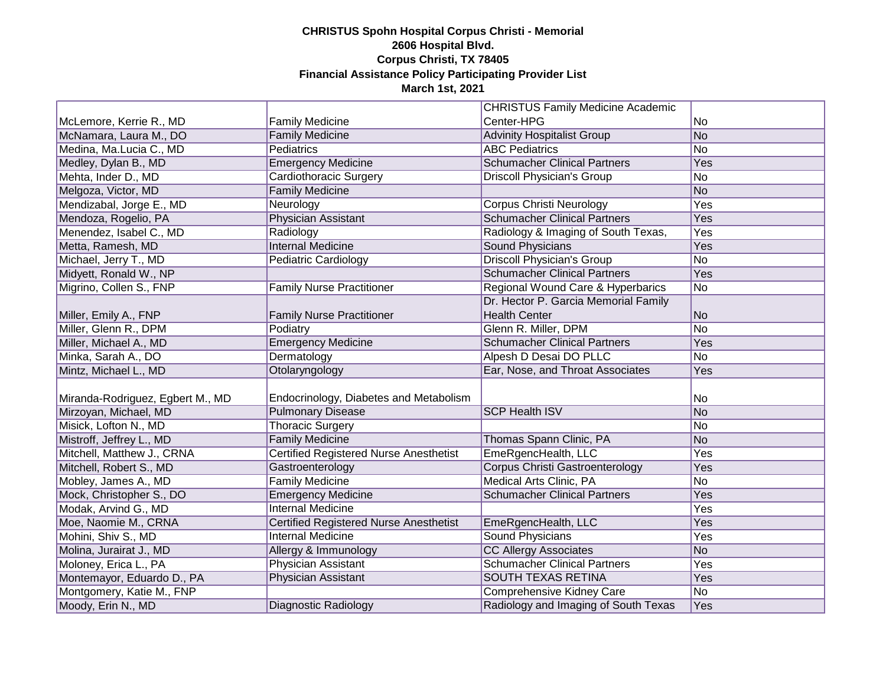|                                  |                                               | <b>CHRISTUS Family Medicine Academic</b> |                |
|----------------------------------|-----------------------------------------------|------------------------------------------|----------------|
| McLemore, Kerrie R., MD          | <b>Family Medicine</b>                        | Center-HPG                               | No             |
| McNamara, Laura M., DO           | <b>Family Medicine</b>                        | <b>Advinity Hospitalist Group</b>        | No             |
| Medina, Ma.Lucia C., MD          | Pediatrics                                    | <b>ABC Pediatrics</b>                    | N <sub>o</sub> |
| Medley, Dylan B., MD             | <b>Emergency Medicine</b>                     | <b>Schumacher Clinical Partners</b>      | Yes            |
| Mehta, Inder D., MD              | Cardiothoracic Surgery                        | <b>Driscoll Physician's Group</b>        | No             |
| Melgoza, Victor, MD              | <b>Family Medicine</b>                        |                                          | No             |
| Mendizabal, Jorge E., MD         | Neurology                                     | Corpus Christi Neurology                 | Yes            |
| Mendoza, Rogelio, PA             | <b>Physician Assistant</b>                    | <b>Schumacher Clinical Partners</b>      | Yes            |
| Menendez, Isabel C., MD          | Radiology                                     | Radiology & Imaging of South Texas,      | Yes            |
| Metta, Ramesh, MD                | <b>Internal Medicine</b>                      | <b>Sound Physicians</b>                  | Yes            |
| Michael, Jerry T., MD            | Pediatric Cardiology                          | <b>Driscoll Physician's Group</b>        | No             |
| Midyett, Ronald W., NP           |                                               | <b>Schumacher Clinical Partners</b>      | Yes            |
| Migrino, Collen S., FNP          | <b>Family Nurse Practitioner</b>              | Regional Wound Care & Hyperbarics        | No             |
|                                  |                                               | Dr. Hector P. Garcia Memorial Family     |                |
| Miller, Emily A., FNP            | <b>Family Nurse Practitioner</b>              | <b>Health Center</b>                     | No             |
| Miller, Glenn R., DPM            | Podiatry                                      | Glenn R. Miller, DPM                     | No             |
| Miller, Michael A., MD           | <b>Emergency Medicine</b>                     | <b>Schumacher Clinical Partners</b>      | Yes            |
| Minka, Sarah A., DO              | Dermatology                                   | Alpesh D Desai DO PLLC                   | No             |
| Mintz, Michael L., MD            | Otolaryngology                                | Ear, Nose, and Throat Associates         | Yes            |
|                                  |                                               |                                          |                |
| Miranda-Rodriguez, Egbert M., MD | Endocrinology, Diabetes and Metabolism        |                                          | No             |
| Mirzoyan, Michael, MD            | <b>Pulmonary Disease</b>                      | <b>SCP Health ISV</b>                    | No             |
| Misick, Lofton N., MD            | <b>Thoracic Surgery</b>                       |                                          | No             |
| Mistroff, Jeffrey L., MD         | <b>Family Medicine</b>                        | Thomas Spann Clinic, PA                  | No             |
| Mitchell, Matthew J., CRNA       | Certified Registered Nurse Anesthetist        | EmeRgencHealth, LLC                      | Yes            |
| Mitchell, Robert S., MD          | Gastroenterology                              | Corpus Christi Gastroenterology          | Yes            |
| Mobley, James A., MD             | <b>Family Medicine</b>                        | Medical Arts Clinic, PA                  | No             |
| Mock, Christopher S., DO         | <b>Emergency Medicine</b>                     | <b>Schumacher Clinical Partners</b>      | Yes            |
| Modak, Arvind G., MD             | <b>Internal Medicine</b>                      |                                          | Yes            |
| Moe, Naomie M., CRNA             | <b>Certified Registered Nurse Anesthetist</b> | EmeRgencHealth, LLC                      | Yes            |
| Mohini, Shiv S., MD              | <b>Internal Medicine</b>                      | <b>Sound Physicians</b>                  | Yes            |
| Molina, Jurairat J., MD          | Allergy & Immunology                          | <b>CC Allergy Associates</b>             | No             |
| Moloney, Erica L., PA            | <b>Physician Assistant</b>                    | <b>Schumacher Clinical Partners</b>      | Yes            |
| Montemayor, Eduardo D., PA       | Physician Assistant                           | <b>SOUTH TEXAS RETINA</b>                | Yes            |
| Montgomery, Katie M., FNP        |                                               | <b>Comprehensive Kidney Care</b>         | No             |
| Moody, Erin N., MD               | Diagnostic Radiology                          | Radiology and Imaging of South Texas     | Yes            |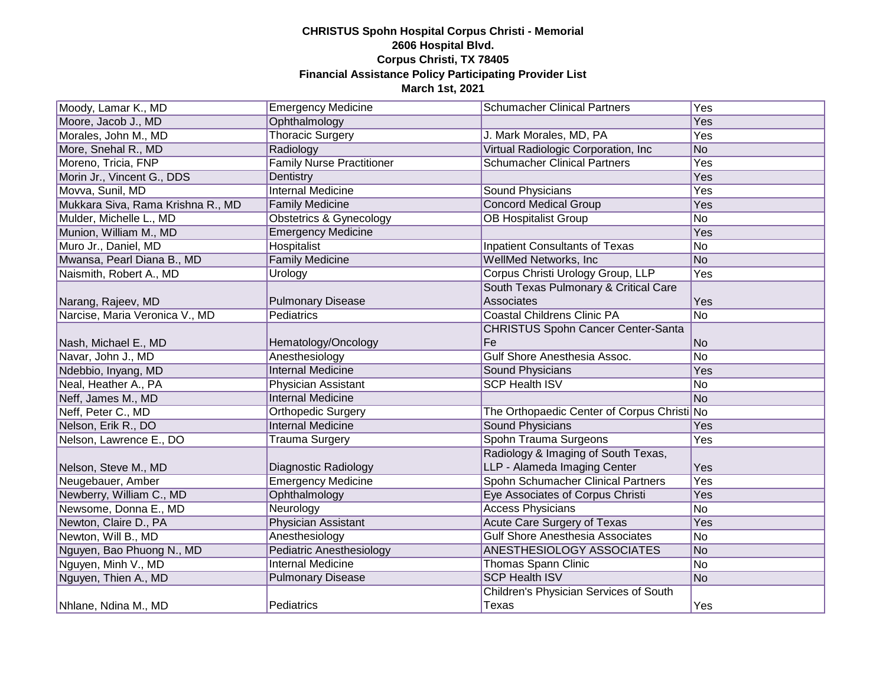| Moody, Lamar K., MD               | <b>Emergency Medicine</b>        | <b>Schumacher Clinical Partners</b>         | Yes            |
|-----------------------------------|----------------------------------|---------------------------------------------|----------------|
| Moore, Jacob J., MD               | Ophthalmology                    |                                             | Yes            |
| Morales, John M., MD              | <b>Thoracic Surgery</b>          | J. Mark Morales, MD, PA                     | Yes            |
| More, Snehal R., MD               | Radiology                        | Virtual Radiologic Corporation, Inc.        | No             |
| Moreno, Tricia, FNP               | <b>Family Nurse Practitioner</b> | <b>Schumacher Clinical Partners</b>         | Yes            |
| Morin Jr., Vincent G., DDS        | Dentistry                        |                                             | Yes            |
| Movva, Sunil, MD                  | <b>Internal Medicine</b>         | Sound Physicians                            | Yes            |
| Mukkara Siva, Rama Krishna R., MD | <b>Family Medicine</b>           | <b>Concord Medical Group</b>                | Yes            |
| Mulder, Michelle L., MD           | Obstetrics & Gynecology          | <b>OB Hospitalist Group</b>                 | No             |
| Munion, William M., MD            | <b>Emergency Medicine</b>        |                                             | Yes            |
| Muro Jr., Daniel, MD              | <b>Hospitalist</b>               | <b>Inpatient Consultants of Texas</b>       | No             |
| Mwansa, Pearl Diana B., MD        | <b>Family Medicine</b>           | WellMed Networks, Inc.                      | No             |
| Naismith, Robert A., MD           | Urology                          | Corpus Christi Urology Group, LLP           | Yes            |
|                                   |                                  | South Texas Pulmonary & Critical Care       |                |
| Narang, Rajeev, MD                | <b>Pulmonary Disease</b>         | Associates                                  | Yes            |
| Narcise, Maria Veronica V., MD    | Pediatrics                       | <b>Coastal Childrens Clinic PA</b>          | No             |
|                                   |                                  | <b>CHRISTUS Spohn Cancer Center-Santa</b>   |                |
| Nash, Michael E., MD              | Hematology/Oncology              | Fe                                          | N <sub>o</sub> |
| Navar, John J., MD                | Anesthesiology                   | Gulf Shore Anesthesia Assoc.                | No             |
| Ndebbio, Inyang, MD               | <b>Internal Medicine</b>         | Sound Physicians                            | Yes            |
| Neal, Heather A., PA              | Physician Assistant              | <b>SCP Health ISV</b>                       | No             |
| Neff, James M., MD                | <b>Internal Medicine</b>         |                                             | No             |
| Neff, Peter C., MD                | Orthopedic Surgery               | The Orthopaedic Center of Corpus Christi No |                |
| Nelson, Erik R., DO               | <b>Internal Medicine</b>         | <b>Sound Physicians</b>                     | Yes            |
| Nelson, Lawrence E., DO           | <b>Trauma Surgery</b>            | Spohn Trauma Surgeons                       | Yes            |
|                                   |                                  | Radiology & Imaging of South Texas,         |                |
| Nelson, Steve M., MD              | Diagnostic Radiology             | LLP - Alameda Imaging Center                | Yes            |
| Neugebauer, Amber                 | <b>Emergency Medicine</b>        | Spohn Schumacher Clinical Partners          | Yes            |
| Newberry, William C., MD          | Ophthalmology                    | Eye Associates of Corpus Christi            | Yes            |
| Newsome, Donna E., MD             | Neurology                        | <b>Access Physicians</b>                    | No             |
| Newton, Claire D., PA             | Physician Assistant              | <b>Acute Care Surgery of Texas</b>          | Yes            |
| Newton, Will B., MD               | Anesthesiology                   | <b>Gulf Shore Anesthesia Associates</b>     | No             |
| Nguyen, Bao Phuong N., MD         | <b>Pediatric Anesthesiology</b>  | <b>ANESTHESIOLOGY ASSOCIATES</b>            | No             |
| Nguyen, Minh V., MD               | <b>Internal Medicine</b>         | <b>Thomas Spann Clinic</b>                  | No             |
| Nguyen, Thien A., MD              | <b>Pulmonary Disease</b>         | <b>SCP Health ISV</b>                       | No             |
|                                   |                                  | Children's Physician Services of South      |                |
| Nhlane, Ndina M., MD              | Pediatrics                       | Texas                                       | Yes            |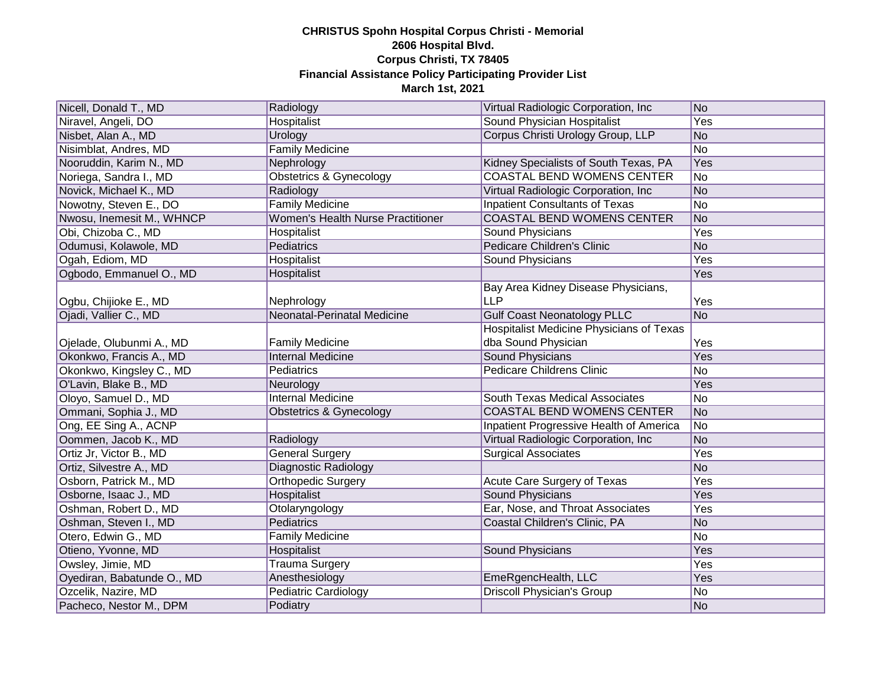| Nicell, Donald T., MD      | Radiology                                | Virtual Radiologic Corporation, Inc.            | No             |
|----------------------------|------------------------------------------|-------------------------------------------------|----------------|
| Niravel, Angeli, DO        | <b>Hospitalist</b>                       | Sound Physician Hospitalist                     | Yes            |
| Nisbet, Alan A., MD        | Urology                                  | Corpus Christi Urology Group, LLP               | No             |
| Nisimblat, Andres, MD      | <b>Family Medicine</b>                   |                                                 | No             |
| Nooruddin, Karim N., MD    | Nephrology                               | Kidney Specialists of South Texas, PA           | <b>Yes</b>     |
| Noriega, Sandra I., MD     | <b>Obstetrics &amp; Gynecology</b>       | <b>COASTAL BEND WOMENS CENTER</b>               | No             |
| Novick, Michael K., MD     | Radiology                                | Virtual Radiologic Corporation, Inc.            | No             |
| Nowotny, Steven E., DO     | <b>Family Medicine</b>                   | <b>Inpatient Consultants of Texas</b>           | No             |
| Nwosu, Inemesit M., WHNCP  | <b>Women's Health Nurse Practitioner</b> | <b>COASTAL BEND WOMENS CENTER</b>               | No             |
| Obi, Chizoba C., MD        | Hospitalist                              | Sound Physicians                                | Yes            |
| Odumusi, Kolawole, MD      | Pediatrics                               | <b>Pedicare Children's Clinic</b>               | No             |
| Ogah, Ediom, MD            | Hospitalist                              | Sound Physicians                                | Yes            |
| Ogbodo, Emmanuel O., MD    | Hospitalist                              |                                                 | Yes            |
|                            |                                          | Bay Area Kidney Disease Physicians,             |                |
| Ogbu, Chijioke E., MD      | Nephrology                               | <b>LLP</b>                                      | Yes            |
| Ojadi, Vallier C., MD      | <b>Neonatal-Perinatal Medicine</b>       | <b>Gulf Coast Neonatology PLLC</b>              | No             |
|                            |                                          | <b>Hospitalist Medicine Physicians of Texas</b> |                |
| Ojelade, Olubunmi A., MD   | Family Medicine                          | dba Sound Physician                             | Yes            |
| Okonkwo, Francis A., MD    | <b>Internal Medicine</b>                 | <b>Sound Physicians</b>                         | Yes            |
| Okonkwo, Kingsley C., MD   | Pediatrics                               | <b>Pedicare Childrens Clinic</b>                | N <sub>o</sub> |
| O'Lavin, Blake B., MD      | Neurology                                |                                                 | Yes            |
| Oloyo, Samuel D., MD       | <b>Internal Medicine</b>                 | South Texas Medical Associates                  | No             |
| Ommani, Sophia J., MD      | <b>Obstetrics &amp; Gynecology</b>       | <b>COASTAL BEND WOMENS CENTER</b>               | No             |
| Ong, EE Sing A., ACNP      |                                          | Inpatient Progressive Health of America         | No             |
| Oommen, Jacob K., MD       | Radiology                                | Virtual Radiologic Corporation, Inc.            | No             |
| Ortiz Jr, Victor B., MD    | <b>General Surgery</b>                   | <b>Surgical Associates</b>                      | Yes            |
| Ortiz, Silvestre A., MD    | Diagnostic Radiology                     |                                                 | No             |
| Osborn, Patrick M., MD     | Orthopedic Surgery                       | Acute Care Surgery of Texas                     | Yes            |
| Osborne, Isaac J., MD      | Hospitalist                              | <b>Sound Physicians</b>                         | Yes            |
| Oshman, Robert D., MD      | Otolaryngology                           | Ear, Nose, and Throat Associates                | Yes            |
| Oshman, Steven I., MD      | Pediatrics                               | Coastal Children's Clinic, PA                   | No             |
| Otero, Edwin G., MD        | <b>Family Medicine</b>                   |                                                 | No             |
| Otieno, Yvonne, MD         | Hospitalist                              | <b>Sound Physicians</b>                         | Yes            |
| Owsley, Jimie, MD          | <b>Trauma Surgery</b>                    |                                                 | Yes            |
| Oyediran, Babatunde O., MD | Anesthesiology                           | EmeRgencHealth, LLC                             | Yes            |
| Ozcelik, Nazire, MD        | <b>Pediatric Cardiology</b>              | <b>Driscoll Physician's Group</b>               | No             |
| Pacheco, Nestor M., DPM    | Podiatry                                 |                                                 | No             |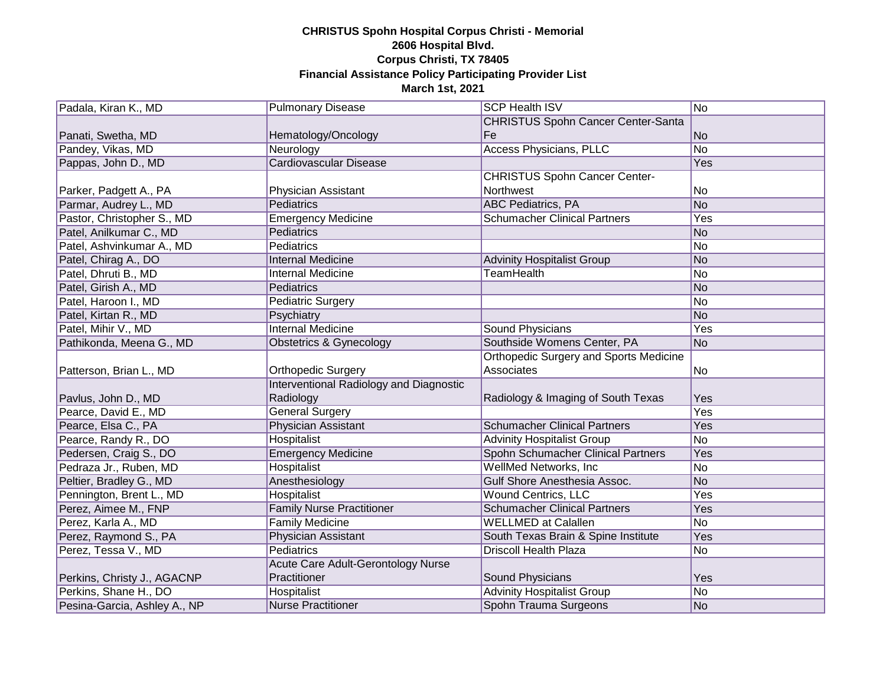| Padala, Kiran K., MD         | <b>Pulmonary Disease</b>                  | <b>SCP Health ISV</b>                         | No         |
|------------------------------|-------------------------------------------|-----------------------------------------------|------------|
|                              |                                           | <b>CHRISTUS Spohn Cancer Center-Santa</b>     |            |
| Panati, Swetha, MD           | Hematology/Oncology                       | Fe                                            | No         |
| Pandey, Vikas, MD            | Neurology                                 | <b>Access Physicians, PLLC</b>                | No         |
| Pappas, John D., MD          | Cardiovascular Disease                    |                                               | Yes        |
|                              |                                           | <b>CHRISTUS Spohn Cancer Center-</b>          |            |
| Parker, Padgett A., PA       | Physician Assistant                       | Northwest                                     | No         |
| Parmar, Audrey L., MD        | Pediatrics                                | <b>ABC Pediatrics, PA</b>                     | No         |
| Pastor, Christopher S., MD   | <b>Emergency Medicine</b>                 | <b>Schumacher Clinical Partners</b>           | <b>Yes</b> |
| Patel, Anilkumar C., MD      | Pediatrics                                |                                               | No         |
| Patel, Ashvinkumar A., MD    | Pediatrics                                |                                               | No         |
| Patel, Chirag A., DO         | <b>Internal Medicine</b>                  | <b>Advinity Hospitalist Group</b>             | No         |
| Patel, Dhruti B., MD         | <b>Internal Medicine</b>                  | <b>TeamHealth</b>                             | No         |
| Patel, Girish A., MD         | Pediatrics                                |                                               | No         |
| Patel, Haroon I., MD         | <b>Pediatric Surgery</b>                  |                                               | No         |
| Patel, Kirtan R., MD         | Psychiatry                                |                                               | No         |
| Patel, Mihir V., MD          | <b>Internal Medicine</b>                  | Sound Physicians                              | Yes        |
| Pathikonda, Meena G., MD     | Obstetrics & Gynecology                   | Southside Womens Center, PA                   | No         |
|                              |                                           | <b>Orthopedic Surgery and Sports Medicine</b> |            |
| Patterson, Brian L., MD      | <b>Orthopedic Surgery</b>                 | Associates                                    | No         |
|                              | Interventional Radiology and Diagnostic   |                                               |            |
| Pavlus, John D., MD          | Radiology                                 | Radiology & Imaging of South Texas            | Yes        |
| Pearce, David E., MD         | <b>General Surgery</b>                    |                                               | Yes        |
| Pearce, Elsa C., PA          | Physician Assistant                       | <b>Schumacher Clinical Partners</b>           | Yes        |
| Pearce, Randy R., DO         | Hospitalist                               | <b>Advinity Hospitalist Group</b>             | No         |
| Pedersen, Craig S., DO       | <b>Emergency Medicine</b>                 | Spohn Schumacher Clinical Partners            | Yes        |
| Pedraza Jr., Ruben, MD       | Hospitalist                               | WellMed Networks, Inc.                        | No         |
| Peltier, Bradley G., MD      | Anesthesiology                            | <b>Gulf Shore Anesthesia Assoc.</b>           | No         |
| Pennington, Brent L., MD     | Hospitalist                               | <b>Wound Centrics, LLC</b>                    | Yes        |
| Perez, Aimee M., FNP         | <b>Family Nurse Practitioner</b>          | <b>Schumacher Clinical Partners</b>           | Yes        |
| Perez, Karla A., MD          | <b>Family Medicine</b>                    | <b>WELLMED at Calallen</b>                    | No         |
| Perez, Raymond S., PA        | <b>Physician Assistant</b>                | South Texas Brain & Spine Institute           | Yes        |
| Perez, Tessa V., MD          | <b>Pediatrics</b>                         | <b>Driscoll Health Plaza</b>                  | No         |
|                              | <b>Acute Care Adult-Gerontology Nurse</b> |                                               |            |
| Perkins, Christy J., AGACNP  | Practitioner                              | Sound Physicians                              | Yes        |
| Perkins, Shane H., DO        | Hospitalist                               | <b>Advinity Hospitalist Group</b>             | No         |
| Pesina-Garcia, Ashley A., NP | <b>Nurse Practitioner</b>                 | Spohn Trauma Surgeons                         | No         |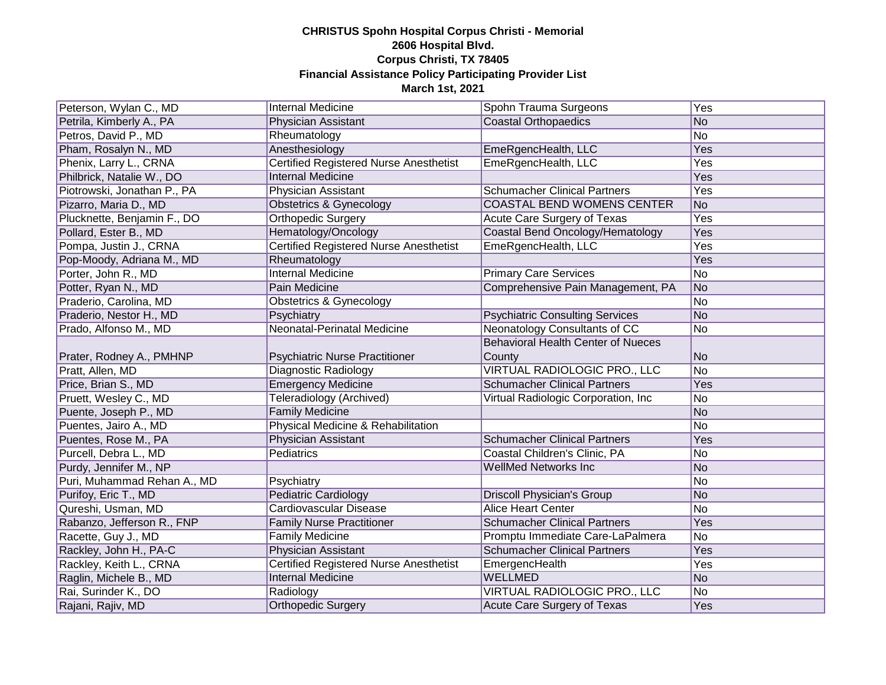| Peterson, Wylan C., MD      | <b>Internal Medicine</b>                      | Spohn Trauma Surgeons                               | Yes            |
|-----------------------------|-----------------------------------------------|-----------------------------------------------------|----------------|
| Petrila, Kimberly A., PA    | Physician Assistant                           | <b>Coastal Orthopaedics</b>                         | No             |
| Petros, David P., MD        | Rheumatology                                  |                                                     | No             |
| Pham, Rosalyn N., MD        | Anesthesiology                                | EmeRgencHealth, LLC                                 | Yes            |
| Phenix, Larry L., CRNA      | <b>Certified Registered Nurse Anesthetist</b> | EmeRgencHealth, LLC                                 | Yes            |
| Philbrick, Natalie W., DO   | <b>Internal Medicine</b>                      |                                                     | Yes            |
| Piotrowski, Jonathan P., PA | Physician Assistant                           | <b>Schumacher Clinical Partners</b>                 | Yes            |
| Pizarro, Maria D., MD       | Obstetrics & Gynecology                       | COASTAL BEND WOMENS CENTER                          | No             |
| Plucknette, Benjamin F., DO | Orthopedic Surgery                            | Acute Care Surgery of Texas                         | Yes            |
| Pollard, Ester B., MD       | Hematology/Oncology                           | Coastal Bend Oncology/Hematology                    | Yes            |
| Pompa, Justin J., CRNA      | <b>Certified Registered Nurse Anesthetist</b> | EmeRgencHealth, LLC                                 | Yes            |
| Pop-Moody, Adriana M., MD   | Rheumatology                                  |                                                     | Yes            |
| Porter, John R., MD         | <b>Internal Medicine</b>                      | <b>Primary Care Services</b>                        | No             |
| Potter, Ryan N., MD         | Pain Medicine                                 | Comprehensive Pain Management, PA                   | No             |
| Praderio, Carolina, MD      | Obstetrics & Gynecology                       |                                                     | No             |
| Praderio, Nestor H., MD     | Psychiatry                                    | <b>Psychiatric Consulting Services</b>              | No             |
| Prado, Alfonso M., MD       | Neonatal-Perinatal Medicine                   | <b>Neonatology Consultants of CC</b>                | No             |
| Prater, Rodney A., PMHNP    | <b>Psychiatric Nurse Practitioner</b>         | <b>Behavioral Health Center of Nueces</b><br>County | No             |
| Pratt, Allen, MD            | Diagnostic Radiology                          | VIRTUAL RADIOLOGIC PRO., LLC                        | No             |
| Price, Brian S., MD         | <b>Emergency Medicine</b>                     | <b>Schumacher Clinical Partners</b>                 | Yes            |
| Pruett, Wesley C., MD       | Teleradiology (Archived)                      | Virtual Radiologic Corporation, Inc.                | No             |
| Puente, Joseph P., MD       | <b>Family Medicine</b>                        |                                                     | No             |
| Puentes, Jairo A., MD       | Physical Medicine & Rehabilitation            |                                                     | No             |
| Puentes, Rose M., PA        | Physician Assistant                           | <b>Schumacher Clinical Partners</b>                 | Yes            |
| Purcell, Debra L., MD       | Pediatrics                                    | Coastal Children's Clinic, PA                       | No             |
| Purdy, Jennifer M., NP      |                                               | <b>WellMed Networks Inc</b>                         | No             |
| Puri, Muhammad Rehan A., MD | Psychiatry                                    |                                                     | No             |
| Purifoy, Eric T., MD        | <b>Pediatric Cardiology</b>                   | <b>Driscoll Physician's Group</b>                   | No             |
| Qureshi, Usman, MD          | Cardiovascular Disease                        | <b>Alice Heart Center</b>                           | No             |
| Rabanzo, Jefferson R., FNP  | <b>Family Nurse Practitioner</b>              | <b>Schumacher Clinical Partners</b>                 | Yes            |
| Racette, Guy J., MD         | <b>Family Medicine</b>                        | Promptu Immediate Care-LaPalmera                    | No             |
| Rackley, John H., PA-C      | Physician Assistant                           | <b>Schumacher Clinical Partners</b>                 | Yes            |
| Rackley, Keith L., CRNA     | <b>Certified Registered Nurse Anesthetist</b> | EmergencHealth                                      | Yes            |
| Raglin, Michele B., MD      | <b>Internal Medicine</b>                      | <b>WELLMED</b>                                      | No             |
| Rai, Surinder K., DO        | Radiology                                     | VIRTUAL RADIOLOGIC PRO., LLC                        | N <sub>o</sub> |
| Rajani, Rajiv, MD           | <b>Orthopedic Surgery</b>                     | Acute Care Surgery of Texas                         | Yes            |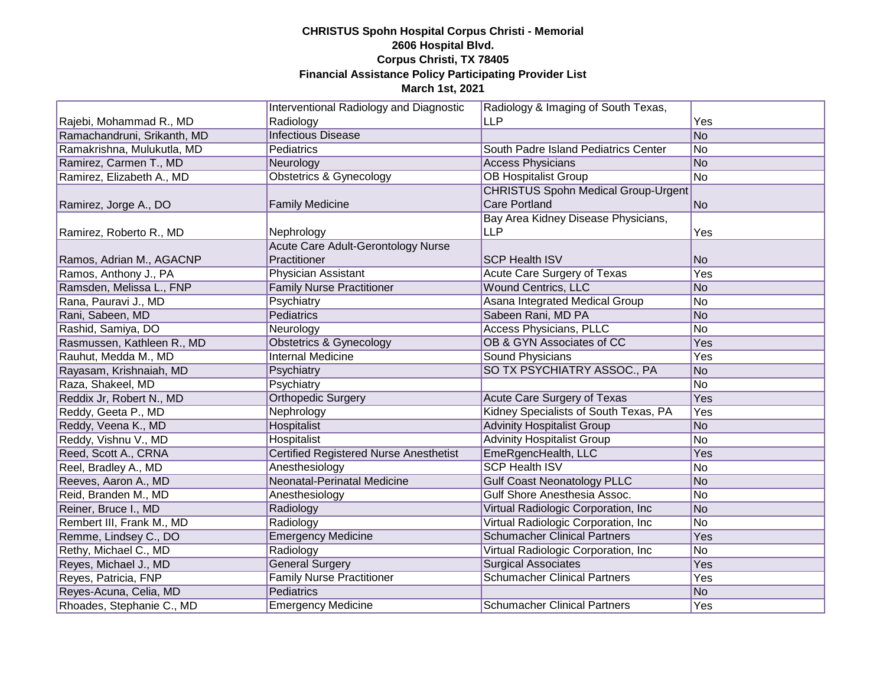|                             | Interventional Radiology and Diagnostic       | Radiology & Imaging of South Texas,        |                |
|-----------------------------|-----------------------------------------------|--------------------------------------------|----------------|
| Rajebi, Mohammad R., MD     | Radiology                                     | <b>LLP</b>                                 | Yes            |
| Ramachandruni, Srikanth, MD | <b>Infectious Disease</b>                     |                                            | No             |
| Ramakrishna, Mulukutla, MD  | Pediatrics                                    | South Padre Island Pediatrics Center       | No             |
| Ramirez, Carmen T., MD      | Neurology                                     | <b>Access Physicians</b>                   | No             |
| Ramirez, Elizabeth A., MD   | <b>Obstetrics &amp; Gynecology</b>            | <b>OB Hospitalist Group</b>                | No             |
|                             |                                               | <b>CHRISTUS Spohn Medical Group-Urgent</b> |                |
| Ramirez, Jorge A., DO       | <b>Family Medicine</b>                        | <b>Care Portland</b>                       | No.            |
|                             |                                               | Bay Area Kidney Disease Physicians,        |                |
| Ramirez, Roberto R., MD     | Nephrology                                    | <b>LLP</b>                                 | Yes            |
|                             | Acute Care Adult-Gerontology Nurse            |                                            |                |
| Ramos, Adrian M., AGACNP    | Practitioner                                  | <b>SCP Health ISV</b>                      | N <sub>o</sub> |
| Ramos, Anthony J., PA       | <b>Physician Assistant</b>                    | Acute Care Surgery of Texas                | Yes            |
| Ramsden, Melissa L., FNP    | <b>Family Nurse Practitioner</b>              | <b>Wound Centrics, LLC</b>                 | No             |
| Rana, Pauravi J., MD        | Psychiatry                                    | Asana Integrated Medical Group             | No             |
| Rani, Sabeen, MD            | Pediatrics                                    | Sabeen Rani, MD PA                         | No             |
| Rashid, Samiya, DO          | Neurology                                     | <b>Access Physicians, PLLC</b>             | No             |
| Rasmussen, Kathleen R., MD  | Obstetrics & Gynecology                       | OB & GYN Associates of CC                  | Yes            |
| Rauhut, Medda M., MD        | <b>Internal Medicine</b>                      | Sound Physicians                           | Yes            |
| Rayasam, Krishnaiah, MD     | Psychiatry                                    | SO TX PSYCHIATRY ASSOC., PA                | No             |
| Raza, Shakeel, MD           | Psychiatry                                    |                                            | No             |
| Reddix Jr, Robert N., MD    | <b>Orthopedic Surgery</b>                     | <b>Acute Care Surgery of Texas</b>         | Yes            |
| Reddy, Geeta P., MD         | Nephrology                                    | Kidney Specialists of South Texas, PA      | Yes            |
| Reddy, Veena K., MD         | Hospitalist                                   | <b>Advinity Hospitalist Group</b>          | No             |
| Reddy, Vishnu V., MD        | Hospitalist                                   | <b>Advinity Hospitalist Group</b>          | No             |
| Reed, Scott A., CRNA        | <b>Certified Registered Nurse Anesthetist</b> | EmeRgencHealth, LLC                        | Yes            |
| Reel, Bradley A., MD        | Anesthesiology                                | <b>SCP Health ISV</b>                      | No             |
| Reeves, Aaron A., MD        | Neonatal-Perinatal Medicine                   | <b>Gulf Coast Neonatology PLLC</b>         | No             |
| Reid, Branden M., MD        | Anesthesiology                                | Gulf Shore Anesthesia Assoc.               | No             |
| Reiner, Bruce I., MD        | Radiology                                     | Virtual Radiologic Corporation, Inc.       | No             |
| Rembert III, Frank M., MD   | Radiology                                     | Virtual Radiologic Corporation, Inc.       | No             |
| Remme, Lindsey C., DO       | <b>Emergency Medicine</b>                     | <b>Schumacher Clinical Partners</b>        | Yes            |
| Rethy, Michael C., MD       | Radiology                                     | Virtual Radiologic Corporation, Inc        | No             |
| Reyes, Michael J., MD       | <b>General Surgery</b>                        | <b>Surgical Associates</b>                 | Yes            |
| Reyes, Patricia, FNP        | <b>Family Nurse Practitioner</b>              | <b>Schumacher Clinical Partners</b>        | Yes            |
| Reyes-Acuna, Celia, MD      | <b>Pediatrics</b>                             |                                            | No             |
| Rhoades, Stephanie C., MD   | <b>Emergency Medicine</b>                     | <b>Schumacher Clinical Partners</b>        | Yes            |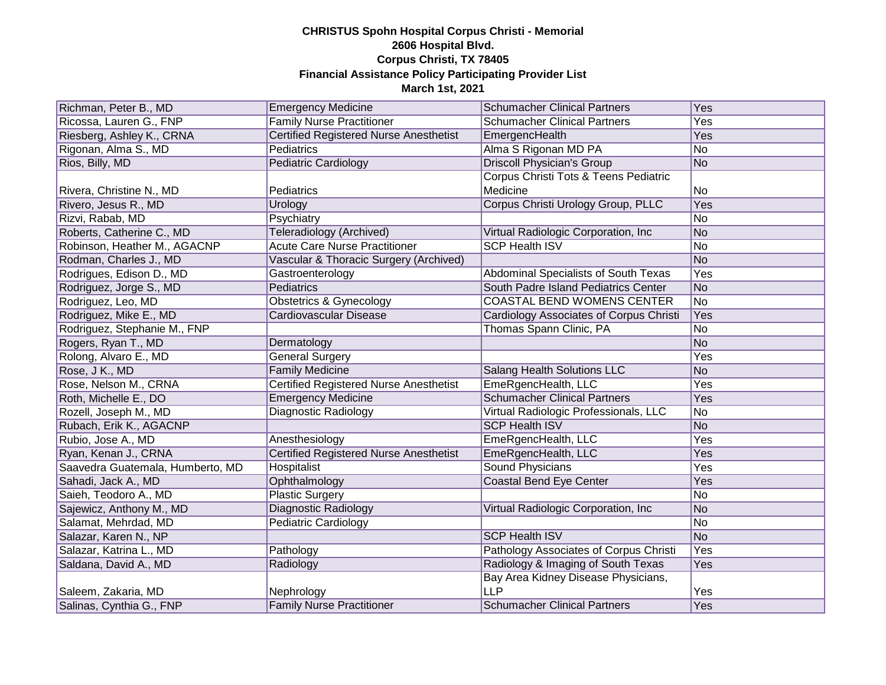| Richman, Peter B., MD            | <b>Emergency Medicine</b>                     | <b>Schumacher Clinical Partners</b>     | Yes |
|----------------------------------|-----------------------------------------------|-----------------------------------------|-----|
|                                  | <b>Family Nurse Practitioner</b>              | <b>Schumacher Clinical Partners</b>     | Yes |
| Ricossa, Lauren G., FNP          |                                               |                                         |     |
| Riesberg, Ashley K., CRNA        | <b>Certified Registered Nurse Anesthetist</b> | EmergencHealth                          | Yes |
| Rigonan, Alma S., MD             | Pediatrics                                    | Alma S Rigonan MD PA                    | No  |
| Rios, Billy, MD                  | <b>Pediatric Cardiology</b>                   | <b>Driscoll Physician's Group</b>       | No  |
|                                  |                                               | Corpus Christi Tots & Teens Pediatric   |     |
| Rivera, Christine N., MD         | Pediatrics                                    | Medicine                                | No  |
| Rivero, Jesus R., MD             | Urology                                       | Corpus Christi Urology Group, PLLC      | Yes |
| Rizvi, Rabab, MD                 | Psychiatry                                    |                                         | No  |
| Roberts, Catherine C., MD        | Teleradiology (Archived)                      | Virtual Radiologic Corporation, Inc     | No  |
| Robinson, Heather M., AGACNP     | <b>Acute Care Nurse Practitioner</b>          | <b>SCP Health ISV</b>                   | No  |
| Rodman, Charles J., MD           | Vascular & Thoracic Surgery (Archived)        |                                         | No  |
| Rodrigues, Edison D., MD         | Gastroenterology                              | Abdominal Specialists of South Texas    | Yes |
| Rodriguez, Jorge S., MD          | Pediatrics                                    | South Padre Island Pediatrics Center    | No  |
| Rodriguez, Leo, MD               | <b>Obstetrics &amp; Gynecology</b>            | <b>COASTAL BEND WOMENS CENTER</b>       | No  |
| Rodriguez, Mike E., MD           | <b>Cardiovascular Disease</b>                 | Cardiology Associates of Corpus Christi | Yes |
| Rodriguez, Stephanie M., FNP     |                                               | Thomas Spann Clinic, PA                 | No  |
| Rogers, Ryan T., MD              | Dermatology                                   |                                         | No  |
| Rolong, Alvaro E., MD            | <b>General Surgery</b>                        |                                         | Yes |
| Rose, J K., MD                   | <b>Family Medicine</b>                        | <b>Salang Health Solutions LLC</b>      | No  |
| Rose, Nelson M., CRNA            | <b>Certified Registered Nurse Anesthetist</b> | EmeRgencHealth, LLC                     | Yes |
| Roth, Michelle E., DO            | <b>Emergency Medicine</b>                     | <b>Schumacher Clinical Partners</b>     | Yes |
| Rozell, Joseph M., MD            | <b>Diagnostic Radiology</b>                   | Virtual Radiologic Professionals, LLC   | No  |
| Rubach, Erik K., AGACNP          |                                               | <b>SCP Health ISV</b>                   | No  |
| Rubio, Jose A., MD               | Anesthesiology                                | EmeRgencHealth, LLC                     | Yes |
| Ryan, Kenan J., CRNA             | <b>Certified Registered Nurse Anesthetist</b> | EmeRgencHealth, LLC                     | Yes |
| Saavedra Guatemala, Humberto, MD | Hospitalist                                   | <b>Sound Physicians</b>                 | Yes |
| Sahadi, Jack A., MD              | Ophthalmology                                 | <b>Coastal Bend Eye Center</b>          | Yes |
| Saieh, Teodoro A., MD            | <b>Plastic Surgery</b>                        |                                         | No  |
| Sajewicz, Anthony M., MD         | <b>Diagnostic Radiology</b>                   | Virtual Radiologic Corporation, Inc     | No  |
| Salamat, Mehrdad, MD             | Pediatric Cardiology                          |                                         | No  |
| Salazar, Karen N., NP            |                                               | <b>SCP Health ISV</b>                   | No  |
| Salazar, Katrina L., MD          | Pathology                                     | Pathology Associates of Corpus Christi  | Yes |
| Saldana, David A., MD            | Radiology                                     | Radiology & Imaging of South Texas      | Yes |
|                                  |                                               | Bay Area Kidney Disease Physicians,     |     |
| Saleem, Zakaria, MD              | Nephrology                                    | <b>LLP</b>                              | Yes |
| Salinas, Cynthia G., FNP         | <b>Family Nurse Practitioner</b>              | <b>Schumacher Clinical Partners</b>     | Yes |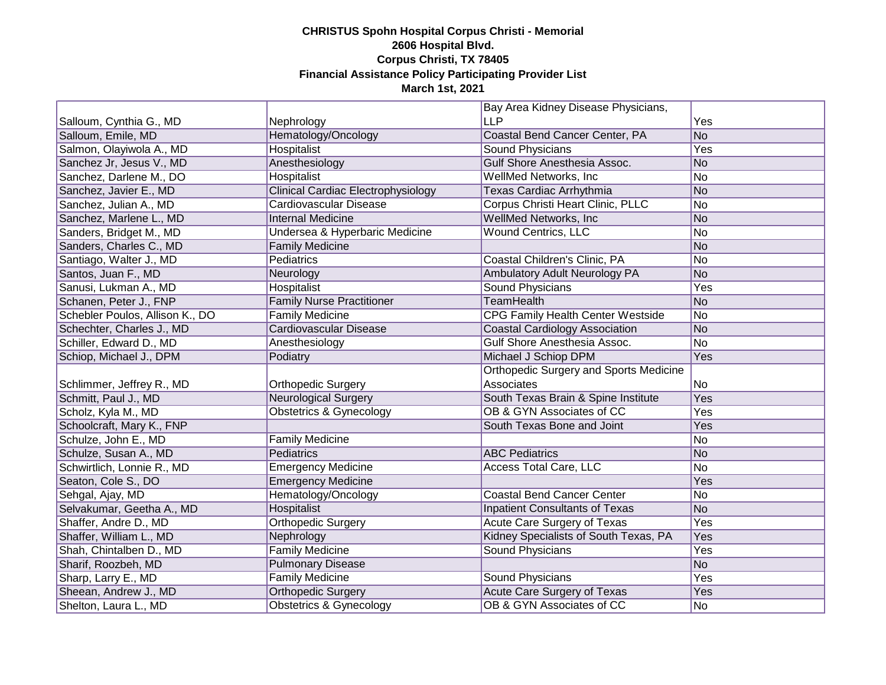|                                 |                                           | Bay Area Kidney Disease Physicians,           |     |
|---------------------------------|-------------------------------------------|-----------------------------------------------|-----|
| Salloum, Cynthia G., MD         | Nephrology                                | <b>LLP</b>                                    | Yes |
| Salloum, Emile, MD              | Hematology/Oncology                       | Coastal Bend Cancer Center, PA                | No  |
| Salmon, Olayiwola A., MD        | Hospitalist                               | Sound Physicians                              | Yes |
| Sanchez Jr, Jesus V., MD        | Anesthesiology                            | Gulf Shore Anesthesia Assoc.                  | No  |
| Sanchez, Darlene M., DO         | Hospitalist                               | WellMed Networks, Inc.                        | No  |
| Sanchez, Javier E., MD          | <b>Clinical Cardiac Electrophysiology</b> | Texas Cardiac Arrhythmia                      | No  |
| Sanchez, Julian A., MD          | Cardiovascular Disease                    | Corpus Christi Heart Clinic, PLLC             | No  |
| Sanchez, Marlene L., MD         | <b>Internal Medicine</b>                  | WellMed Networks, Inc.                        | No  |
| Sanders, Bridget M., MD         | Undersea & Hyperbaric Medicine            | <b>Wound Centrics, LLC</b>                    | No  |
| Sanders, Charles C., MD         | <b>Family Medicine</b>                    |                                               | No  |
| Santiago, Walter J., MD         | Pediatrics                                | Coastal Children's Clinic, PA                 | No  |
| Santos, Juan F., MD             | Neurology                                 | Ambulatory Adult Neurology PA                 | No  |
| Sanusi, Lukman A., MD           | Hospitalist                               | Sound Physicians                              | Yes |
| Schanen, Peter J., FNP          | <b>Family Nurse Practitioner</b>          | <b>TeamHealth</b>                             | No  |
| Schebler Poulos, Allison K., DO | Family Medicine                           | CPG Family Health Center Westside             | No  |
| Schechter, Charles J., MD       | Cardiovascular Disease                    | <b>Coastal Cardiology Association</b>         | No  |
| Schiller, Edward D., MD         | Anesthesiology                            | Gulf Shore Anesthesia Assoc.                  | No  |
| Schiop, Michael J., DPM         | Podiatry                                  | Michael J Schiop DPM                          | Yes |
|                                 |                                           | <b>Orthopedic Surgery and Sports Medicine</b> |     |
| Schlimmer, Jeffrey R., MD       | Orthopedic Surgery                        | Associates                                    | No  |
| Schmitt, Paul J., MD            | <b>Neurological Surgery</b>               | South Texas Brain & Spine Institute           | Yes |
| Scholz, Kyla M., MD             | <b>Obstetrics &amp; Gynecology</b>        | OB & GYN Associates of CC                     | Yes |
| Schoolcraft, Mary K., FNP       |                                           | South Texas Bone and Joint                    | Yes |
| Schulze, John E., MD            | <b>Family Medicine</b>                    |                                               | No  |
| Schulze, Susan A., MD           | Pediatrics                                | <b>ABC Pediatrics</b>                         | No  |
| Schwirtlich, Lonnie R., MD      | <b>Emergency Medicine</b>                 | <b>Access Total Care, LLC</b>                 | No  |
| Seaton, Cole S., DO             | <b>Emergency Medicine</b>                 |                                               | Yes |
| Sehgal, Ajay, MD                | Hematology/Oncology                       | <b>Coastal Bend Cancer Center</b>             | No  |
| Selvakumar, Geetha A., MD       | Hospitalist                               | <b>Inpatient Consultants of Texas</b>         | No  |
| Shaffer, Andre D., MD           | Orthopedic Surgery                        | Acute Care Surgery of Texas                   | Yes |
| Shaffer, William L., MD         | Nephrology                                | Kidney Specialists of South Texas, PA         | Yes |
| Shah, Chintalben D., MD         | <b>Family Medicine</b>                    | <b>Sound Physicians</b>                       | Yes |
| Sharif, Roozbeh, MD             | <b>Pulmonary Disease</b>                  |                                               | No  |
| Sharp, Larry E., MD             | <b>Family Medicine</b>                    | Sound Physicians                              | Yes |
| Sheean, Andrew J., MD           | <b>Orthopedic Surgery</b>                 | Acute Care Surgery of Texas                   | Yes |
| Shelton, Laura L., MD           | Obstetrics & Gynecology                   | OB & GYN Associates of CC                     | No  |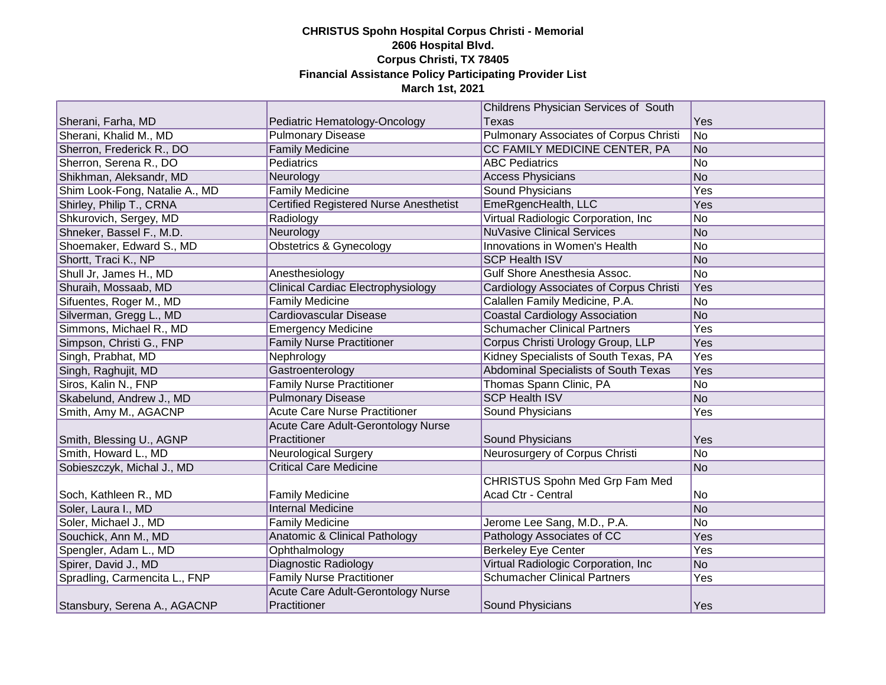|                                |                                               | Childrens Physician Services of South         |     |
|--------------------------------|-----------------------------------------------|-----------------------------------------------|-----|
| Sherani, Farha, MD             | Pediatric Hematology-Oncology                 | <b>Texas</b>                                  | Yes |
| Sherani, Khalid M., MD         | <b>Pulmonary Disease</b>                      | <b>Pulmonary Associates of Corpus Christi</b> | No  |
| Sherron, Frederick R., DO      | <b>Family Medicine</b>                        | CC FAMILY MEDICINE CENTER, PA                 | No  |
| Sherron, Serena R., DO         | <b>Pediatrics</b>                             | <b>ABC Pediatrics</b>                         | No  |
| Shikhman, Aleksandr, MD        | Neurology                                     | <b>Access Physicians</b>                      | No  |
| Shim Look-Fong, Natalie A., MD | Family Medicine                               | <b>Sound Physicians</b>                       | Yes |
| Shirley, Philip T., CRNA       | <b>Certified Registered Nurse Anesthetist</b> | EmeRgencHealth, LLC                           | Yes |
| Shkurovich, Sergey, MD         | Radiology                                     | Virtual Radiologic Corporation, Inc           | No  |
| Shneker, Bassel F., M.D.       | Neurology                                     | <b>NuVasive Clinical Services</b>             | No  |
| Shoemaker, Edward S., MD       | <b>Obstetrics &amp; Gynecology</b>            | Innovations in Women's Health                 | No  |
| Shortt, Traci K., NP           |                                               | <b>SCP Health ISV</b>                         | No  |
| Shull Jr, James H., MD         | Anesthesiology                                | Gulf Shore Anesthesia Assoc.                  | No  |
| Shuraih, Mossaab, MD           | <b>Clinical Cardiac Electrophysiology</b>     | Cardiology Associates of Corpus Christi       | Yes |
| Sifuentes, Roger M., MD        | <b>Family Medicine</b>                        | Calallen Family Medicine, P.A.                | No  |
| Silverman, Gregg L., MD        | Cardiovascular Disease                        | <b>Coastal Cardiology Association</b>         | No  |
| Simmons, Michael R., MD        | <b>Emergency Medicine</b>                     | <b>Schumacher Clinical Partners</b>           | Yes |
| Simpson, Christi G., FNP       | <b>Family Nurse Practitioner</b>              | Corpus Christi Urology Group, LLP             | Yes |
| Singh, Prabhat, MD             | Nephrology                                    | Kidney Specialists of South Texas, PA         | Yes |
| Singh, Raghujit, MD            | Gastroenterology                              | Abdominal Specialists of South Texas          | Yes |
| Siros, Kalin N., FNP           | <b>Family Nurse Practitioner</b>              | Thomas Spann Clinic, PA                       | No  |
| Skabelund, Andrew J., MD       | <b>Pulmonary Disease</b>                      | <b>SCP Health ISV</b>                         | No  |
| Smith, Amy M., AGACNP          | <b>Acute Care Nurse Practitioner</b>          | Sound Physicians                              | Yes |
|                                | Acute Care Adult-Gerontology Nurse            |                                               |     |
| Smith, Blessing U., AGNP       | Practitioner                                  | Sound Physicians                              | Yes |
| Smith, Howard L., MD           | <b>Neurological Surgery</b>                   | Neurosurgery of Corpus Christi                | No  |
| Sobieszczyk, Michal J., MD     | <b>Critical Care Medicine</b>                 |                                               | No  |
|                                |                                               | <b>CHRISTUS Spohn Med Grp Fam Med</b>         |     |
| Soch, Kathleen R., MD          | <b>Family Medicine</b>                        | Acad Ctr - Central                            | No  |
| Soler, Laura I., MD            | <b>Internal Medicine</b>                      |                                               | No  |
| Soler, Michael J., MD          | <b>Family Medicine</b>                        | Jerome Lee Sang, M.D., P.A.                   | No  |
| Souchick, Ann M., MD           | Anatomic & Clinical Pathology                 | Pathology Associates of CC                    | Yes |
| Spengler, Adam L., MD          | Ophthalmology                                 | <b>Berkeley Eye Center</b>                    | Yes |
| Spirer, David J., MD           | Diagnostic Radiology                          | Virtual Radiologic Corporation, Inc           | No  |
| Spradling, Carmencita L., FNP  | <b>Family Nurse Practitioner</b>              | <b>Schumacher Clinical Partners</b>           | Yes |
|                                | Acute Care Adult-Gerontology Nurse            |                                               |     |
| Stansbury, Serena A., AGACNP   | Practitioner                                  | Sound Physicians                              | Yes |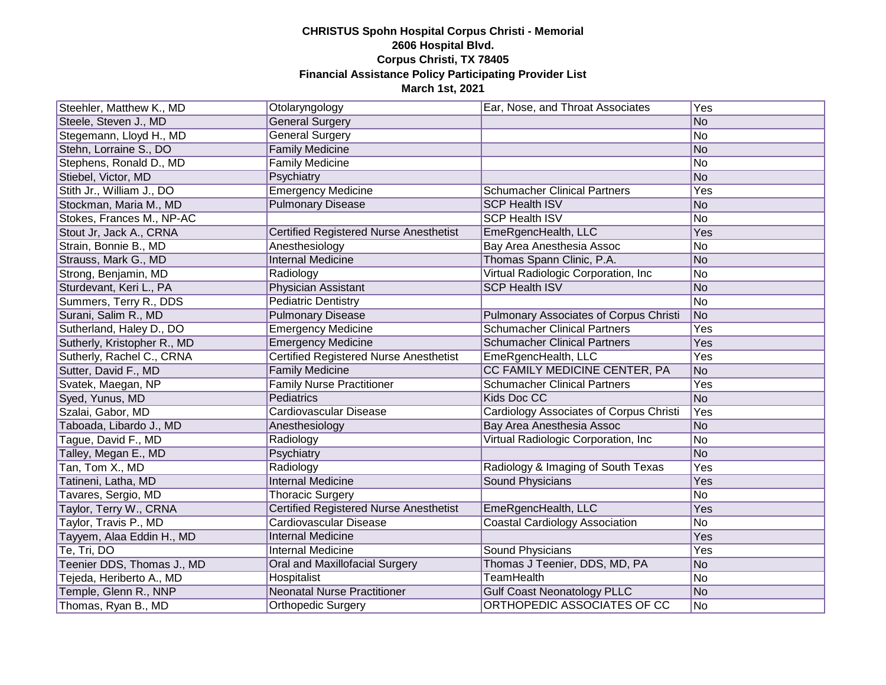| Steehler, Matthew K., MD    | Otolaryngology                                | Ear, Nose, and Throat Associates               | Yes |
|-----------------------------|-----------------------------------------------|------------------------------------------------|-----|
| Steele, Steven J., MD       | <b>General Surgery</b>                        |                                                | No  |
| Stegemann, Lloyd H., MD     | <b>General Surgery</b>                        |                                                | No  |
| Stehn, Lorraine S., DO      | <b>Family Medicine</b>                        |                                                | No  |
| Stephens, Ronald D., MD     | <b>Family Medicine</b>                        |                                                | No  |
| Stiebel, Victor, MD         | Psychiatry                                    |                                                | No  |
| Stith Jr., William J., DO   | <b>Emergency Medicine</b>                     | <b>Schumacher Clinical Partners</b>            | Yes |
| Stockman, Maria M., MD      | <b>Pulmonary Disease</b>                      | <b>SCP Health ISV</b>                          | No  |
| Stokes, Frances M., NP-AC   |                                               | <b>SCP Health ISV</b>                          | No  |
| Stout Jr, Jack A., CRNA     | <b>Certified Registered Nurse Anesthetist</b> | EmeRgencHealth, LLC                            | Yes |
| Strain, Bonnie B., MD       | Anesthesiology                                | Bay Area Anesthesia Assoc                      | No  |
| Strauss, Mark G., MD        | <b>Internal Medicine</b>                      | Thomas Spann Clinic, P.A.                      | No  |
| Strong, Benjamin, MD        | Radiology                                     | Virtual Radiologic Corporation, Inc            | No  |
| Sturdevant, Keri L., PA     | Physician Assistant                           | <b>SCP Health ISV</b>                          | No  |
| Summers, Terry R., DDS      | <b>Pediatric Dentistry</b>                    |                                                | No  |
| Surani, Salim R., MD        | <b>Pulmonary Disease</b>                      | <b>Pulmonary Associates of Corpus Christi</b>  | No  |
| Sutherland, Haley D., DO    | <b>Emergency Medicine</b>                     | <b>Schumacher Clinical Partners</b>            | Yes |
| Sutherly, Kristopher R., MD | <b>Emergency Medicine</b>                     | <b>Schumacher Clinical Partners</b>            | Yes |
| Sutherly, Rachel C., CRNA   | Certified Registered Nurse Anesthetist        | EmeRgencHealth, LLC                            | Yes |
| Sutter, David F., MD        | <b>Family Medicine</b>                        | CC FAMILY MEDICINE CENTER, PA                  | No  |
| Svatek, Maegan, NP          | <b>Family Nurse Practitioner</b>              | <b>Schumacher Clinical Partners</b>            | Yes |
| Syed, Yunus, MD             | Pediatrics                                    | Kids Doc CC                                    | No  |
| Szalai, Gabor, MD           | <b>Cardiovascular Disease</b>                 | <b>Cardiology Associates of Corpus Christi</b> | Yes |
| Taboada, Libardo J., MD     | Anesthesiology                                | Bay Area Anesthesia Assoc                      | No  |
| Tague, David F., MD         | Radiology                                     | Virtual Radiologic Corporation, Inc.           | No  |
| Talley, Megan E., MD        | Psychiatry                                    |                                                | No  |
| Tan, Tom X., MD             | Radiology                                     | Radiology & Imaging of South Texas             | Yes |
| Tatineni, Latha, MD         | <b>Internal Medicine</b>                      | <b>Sound Physicians</b>                        | Yes |
| Tavares, Sergio, MD         | <b>Thoracic Surgery</b>                       |                                                | No  |
| Taylor, Terry W., CRNA      | <b>Certified Registered Nurse Anesthetist</b> | EmeRgencHealth, LLC                            | Yes |
| Taylor, Travis P., MD       | Cardiovascular Disease                        | <b>Coastal Cardiology Association</b>          | No  |
| Tayyem, Alaa Eddin H., MD   | <b>Internal Medicine</b>                      |                                                | Yes |
| Te, Tri, DO                 | <b>Internal Medicine</b>                      | <b>Sound Physicians</b>                        | Yes |
| Teenier DDS, Thomas J., MD  | Oral and Maxillofacial Surgery                | Thomas J Teenier, DDS, MD, PA                  | No  |
| Tejeda, Heriberto A., MD    | Hospitalist                                   | <b>TeamHealth</b>                              | No  |
| Temple, Glenn R., NNP       | <b>Neonatal Nurse Practitioner</b>            | <b>Gulf Coast Neonatology PLLC</b>             | No  |
| Thomas, Ryan B., MD         | Orthopedic Surgery                            | ORTHOPEDIC ASSOCIATES OF CC                    | No  |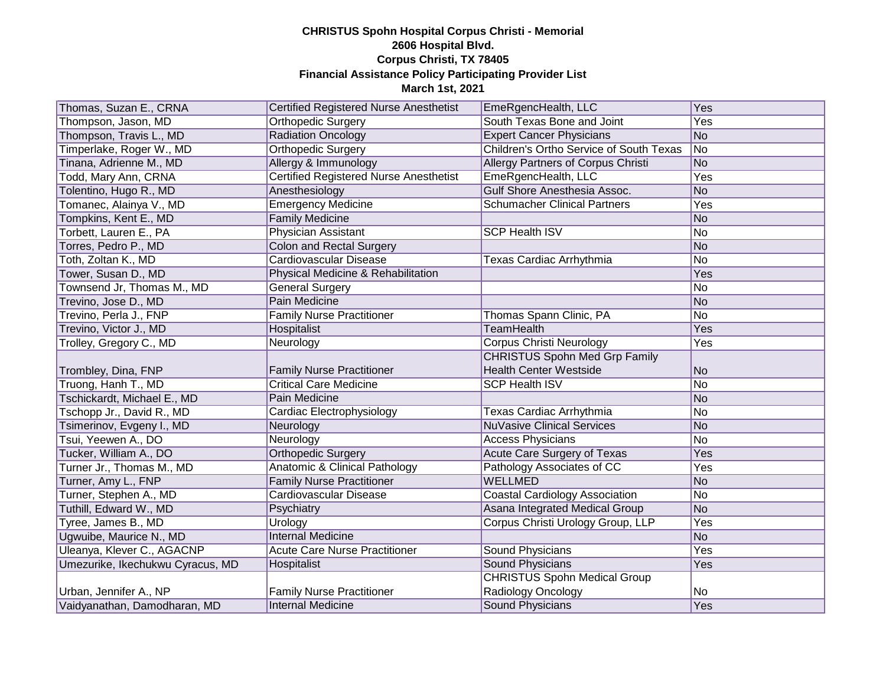| Thomas, Suzan E., CRNA           | <b>Certified Registered Nurse Anesthetist</b> | EmeRgencHealth, LLC                            | Yes            |
|----------------------------------|-----------------------------------------------|------------------------------------------------|----------------|
| Thompson, Jason, MD              | Orthopedic Surgery                            | South Texas Bone and Joint                     | Yes            |
| Thompson, Travis L., MD          | <b>Radiation Oncology</b>                     | <b>Expert Cancer Physicians</b>                | No             |
| Timperlake, Roger W., MD         | <b>Orthopedic Surgery</b>                     | <b>Children's Ortho Service of South Texas</b> | No             |
| Tinana, Adrienne M., MD          | Allergy & Immunology                          | Allergy Partners of Corpus Christi             | No             |
| Todd, Mary Ann, CRNA             | <b>Certified Registered Nurse Anesthetist</b> | EmeRgencHealth, LLC                            | Yes            |
| Tolentino, Hugo R., MD           | Anesthesiology                                | Gulf Shore Anesthesia Assoc.                   | No             |
| Tomanec, Alainya V., MD          | <b>Emergency Medicine</b>                     | <b>Schumacher Clinical Partners</b>            | Yes            |
| Tompkins, Kent E., MD            | <b>Family Medicine</b>                        |                                                | No             |
| Torbett, Lauren E., PA           | Physician Assistant                           | <b>SCP Health ISV</b>                          | No             |
| Torres, Pedro P., MD             | <b>Colon and Rectal Surgery</b>               |                                                | No             |
| Toth, Zoltan K., MD              | Cardiovascular Disease                        | Texas Cardiac Arrhythmia                       | No             |
| Tower, Susan D., MD              | Physical Medicine & Rehabilitation            |                                                | Yes            |
| Townsend Jr, Thomas M., MD       | <b>General Surgery</b>                        |                                                | No             |
| Trevino, Jose D., MD             | Pain Medicine                                 |                                                | No             |
| Trevino, Perla J., FNP           | <b>Family Nurse Practitioner</b>              | Thomas Spann Clinic, PA                        | No             |
| Trevino, Victor J., MD           | Hospitalist                                   | <b>TeamHealth</b>                              | Yes            |
| Trolley, Gregory C., MD          | Neurology                                     | <b>Corpus Christi Neurology</b>                | Yes            |
|                                  |                                               | <b>CHRISTUS Spohn Med Grp Family</b>           |                |
| Trombley, Dina, FNP              | <b>Family Nurse Practitioner</b>              | <b>Health Center Westside</b>                  | No             |
| Truong, Hanh T., MD              | <b>Critical Care Medicine</b>                 | <b>SCP Health ISV</b>                          | No             |
| Tschickardt, Michael E., MD      | Pain Medicine                                 |                                                | No             |
| Tschopp Jr., David R., MD        | Cardiac Electrophysiology                     | Texas Cardiac Arrhythmia                       | N <sub>o</sub> |
| Tsimerinov, Evgeny I., MD        | Neurology                                     | <b>NuVasive Clinical Services</b>              | No             |
| Tsui, Yeewen A., DO              | Neurology                                     | <b>Access Physicians</b>                       | No             |
| Tucker, William A., DO           | <b>Orthopedic Surgery</b>                     | <b>Acute Care Surgery of Texas</b>             | Yes            |
| Turner Jr., Thomas M., MD        | <b>Anatomic &amp; Clinical Pathology</b>      | Pathology Associates of CC                     | Yes            |
| Turner, Amy L., FNP              | <b>Family Nurse Practitioner</b>              | <b>WELLMED</b>                                 | No             |
| Turner, Stephen A., MD           | Cardiovascular Disease                        | <b>Coastal Cardiology Association</b>          | No             |
| Tuthill, Edward W., MD           | Psychiatry                                    | Asana Integrated Medical Group                 | No             |
| Tyree, James B., MD              | Urology                                       | Corpus Christi Urology Group, LLP              | Yes            |
| Ugwuibe, Maurice N., MD          | <b>Internal Medicine</b>                      |                                                | No             |
| Uleanya, Klever C., AGACNP       | <b>Acute Care Nurse Practitioner</b>          | Sound Physicians                               | Yes            |
| Umezurike, Ikechukwu Cyracus, MD | Hospitalist                                   | Sound Physicians                               | Yes            |
|                                  |                                               | <b>CHRISTUS Spohn Medical Group</b>            |                |
| Urban, Jennifer A., NP           | <b>Family Nurse Practitioner</b>              | Radiology Oncology                             | N <sub>o</sub> |
| Vaidyanathan, Damodharan, MD     | Internal Medicine                             | <b>Sound Physicians</b>                        | Yes            |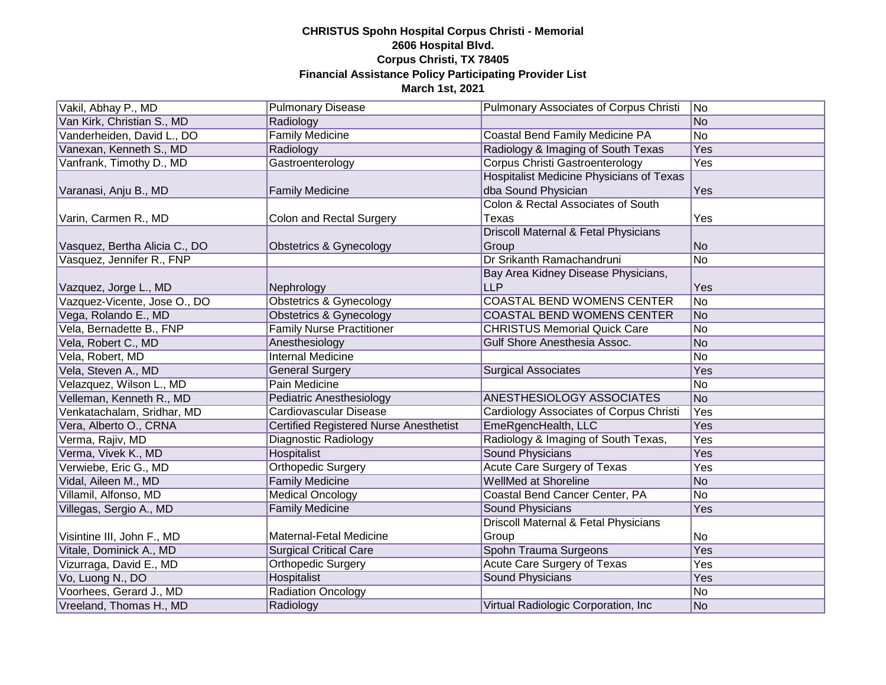| Vakil, Abhay P., MD           | <b>Pulmonary Disease</b>                      | Pulmonary Associates of Corpus Christi          | No             |
|-------------------------------|-----------------------------------------------|-------------------------------------------------|----------------|
| Van Kirk, Christian S., MD    | Radiology                                     |                                                 | No             |
| Vanderheiden, David L., DO    | <b>Family Medicine</b>                        | Coastal Bend Family Medicine PA                 | No             |
| Vanexan, Kenneth S., MD       | Radiology                                     | Radiology & Imaging of South Texas              | Yes            |
| Vanfrank, Timothy D., MD      | Gastroenterology                              | <b>Corpus Christi Gastroenterology</b>          | Yes            |
|                               |                                               | <b>Hospitalist Medicine Physicians of Texas</b> |                |
| Varanasi, Anju B., MD         | <b>Family Medicine</b>                        | dba Sound Physician                             | Yes            |
|                               |                                               | Colon & Rectal Associates of South              |                |
| Varin, Carmen R., MD          | Colon and Rectal Surgery                      | Texas                                           | Yes            |
|                               |                                               | Driscoll Maternal & Fetal Physicians            |                |
| Vasquez, Bertha Alicia C., DO | Obstetrics & Gynecology                       | Group                                           | No.            |
| Vasquez, Jennifer R., FNP     |                                               | Dr Srikanth Ramachandruni                       | No             |
|                               |                                               | Bay Area Kidney Disease Physicians,             |                |
| Vazquez, Jorge L., MD         | Nephrology                                    | <b>LLP</b>                                      | Yes            |
| Vazquez-Vicente, Jose O., DO  | <b>Obstetrics &amp; Gynecology</b>            | <b>COASTAL BEND WOMENS CENTER</b>               | No             |
| Vega, Rolando E., MD          | <b>Obstetrics &amp; Gynecology</b>            | <b>COASTAL BEND WOMENS CENTER</b>               | No             |
| Vela, Bernadette B., FNP      | <b>Family Nurse Practitioner</b>              | <b>CHRISTUS Memorial Quick Care</b>             | No             |
| Vela, Robert C., MD           | Anesthesiology                                | Gulf Shore Anesthesia Assoc.                    | No             |
| Vela, Robert, MD              | <b>Internal Medicine</b>                      |                                                 | N <sub>o</sub> |
| Vela, Steven A., MD           | <b>General Surgery</b>                        | <b>Surgical Associates</b>                      | Yes            |
| Velazquez, Wilson L., MD      | Pain Medicine                                 |                                                 | No             |
| Velleman, Kenneth R., MD      | <b>Pediatric Anesthesiology</b>               | <b>ANESTHESIOLOGY ASSOCIATES</b>                | No             |
| Venkatachalam, Sridhar, MD    | Cardiovascular Disease                        | <b>Cardiology Associates of Corpus Christi</b>  | Yes            |
| Vera, Alberto O., CRNA        | <b>Certified Registered Nurse Anesthetist</b> | EmeRgencHealth, LLC                             | Yes            |
| Verma, Rajiv, MD              | Diagnostic Radiology                          | Radiology & Imaging of South Texas,             | Yes            |
| Verma, Vivek K., MD           | Hospitalist                                   | <b>Sound Physicians</b>                         | Yes            |
| Verwiebe, Eric G., MD         | <b>Orthopedic Surgery</b>                     | <b>Acute Care Surgery of Texas</b>              | Yes            |
| Vidal, Aileen M., MD          | <b>Family Medicine</b>                        | <b>WellMed at Shoreline</b>                     | No             |
| Villamil, Alfonso, MD         | <b>Medical Oncology</b>                       | Coastal Bend Cancer Center, PA                  | No             |
| Villegas, Sergio A., MD       | <b>Family Medicine</b>                        | <b>Sound Physicians</b>                         | Yes            |
|                               |                                               | Driscoll Maternal & Fetal Physicians            |                |
| Visintine III, John F., MD    | Maternal-Fetal Medicine                       | Group                                           | No             |
| Vitale, Dominick A., MD       | <b>Surgical Critical Care</b>                 | Spohn Trauma Surgeons                           | Yes            |
| Vizurraga, David E., MD       | <b>Orthopedic Surgery</b>                     | <b>Acute Care Surgery of Texas</b>              | Yes            |
| Vo, Luong N., DO              | <b>Hospitalist</b>                            | <b>Sound Physicians</b>                         | Yes            |
| Voorhees, Gerard J., MD       | Radiation Oncology                            |                                                 | No             |
| Vreeland, Thomas H., MD       | Radiology                                     | Virtual Radiologic Corporation, Inc             | No             |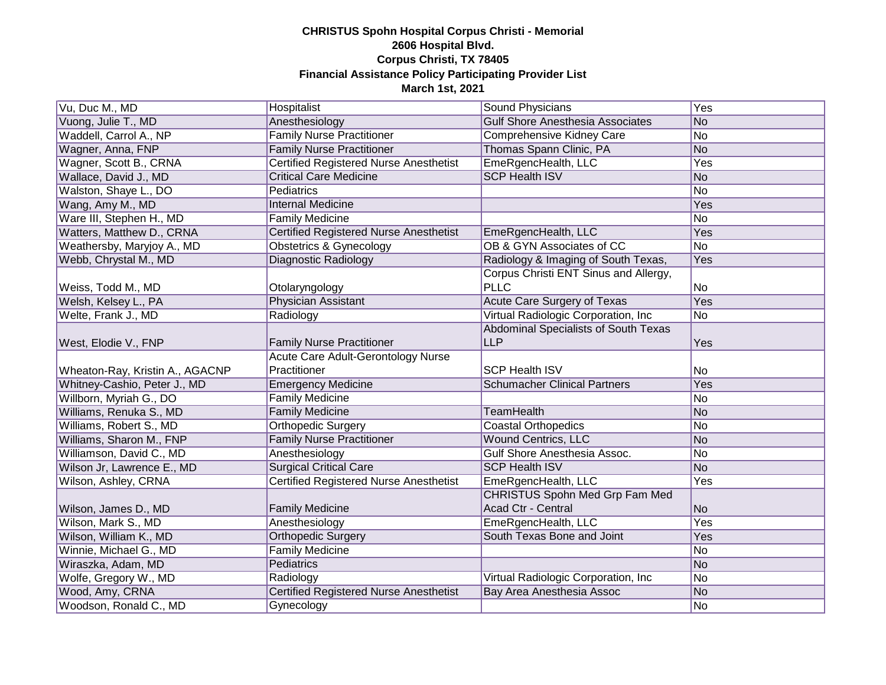| Vu, Duc M., MD                  | Hospitalist                                   | Sound Physicians                        | Yes            |
|---------------------------------|-----------------------------------------------|-----------------------------------------|----------------|
| Vuong, Julie T., MD             | Anesthesiology                                | <b>Gulf Shore Anesthesia Associates</b> | No             |
| Waddell, Carrol A., NP          | <b>Family Nurse Practitioner</b>              | Comprehensive Kidney Care               | No             |
| Wagner, Anna, FNP               | <b>Family Nurse Practitioner</b>              | Thomas Spann Clinic, PA                 | No             |
| Wagner, Scott B., CRNA          | <b>Certified Registered Nurse Anesthetist</b> | EmeRgencHealth, LLC                     | Yes            |
| Wallace, David J., MD           | <b>Critical Care Medicine</b>                 | <b>SCP Health ISV</b>                   | No             |
| Walston, Shaye L., DO           | Pediatrics                                    |                                         | No             |
| Wang, Amy M., MD                | <b>Internal Medicine</b>                      |                                         | Yes            |
| Ware III, Stephen H., MD        | <b>Family Medicine</b>                        |                                         | No             |
| Watters, Matthew D., CRNA       | <b>Certified Registered Nurse Anesthetist</b> | EmeRgencHealth, LLC                     | Yes            |
| Weathersby, Maryjoy A., MD      | Obstetrics & Gynecology                       | OB & GYN Associates of CC               | No             |
| Webb, Chrystal M., MD           | Diagnostic Radiology                          | Radiology & Imaging of South Texas,     | Yes            |
|                                 |                                               | Corpus Christi ENT Sinus and Allergy,   |                |
| Weiss, Todd M., MD              | Otolaryngology                                | <b>PLLC</b>                             | No             |
| Welsh, Kelsey L., PA            | <b>Physician Assistant</b>                    | Acute Care Surgery of Texas             | Yes            |
| Welte, Frank J., MD             | Radiology                                     | Virtual Radiologic Corporation, Inc.    | No             |
|                                 |                                               | Abdominal Specialists of South Texas    |                |
| West, Elodie V., FNP            | <b>Family Nurse Practitioner</b>              | <b>LLP</b>                              | Yes            |
|                                 |                                               |                                         |                |
|                                 | Acute Care Adult-Gerontology Nurse            |                                         |                |
| Wheaton-Ray, Kristin A., AGACNP | Practitioner                                  | <b>SCP Health ISV</b>                   | No             |
| Whitney-Cashio, Peter J., MD    | <b>Emergency Medicine</b>                     | <b>Schumacher Clinical Partners</b>     | Yes            |
| Willborn, Myriah G., DO         | <b>Family Medicine</b>                        |                                         | No             |
| Williams, Renuka S., MD         | <b>Family Medicine</b>                        | <b>TeamHealth</b>                       | No             |
| Williams, Robert S., MD         | Orthopedic Surgery                            | <b>Coastal Orthopedics</b>              | No             |
| Williams, Sharon M., FNP        | <b>Family Nurse Practitioner</b>              | Wound Centrics, LLC                     | No             |
| Williamson, David C., MD        | Anesthesiology                                | Gulf Shore Anesthesia Assoc.            | No             |
| Wilson Jr, Lawrence E., MD      | <b>Surgical Critical Care</b>                 | <b>SCP Health ISV</b>                   | No             |
| Wilson, Ashley, CRNA            | <b>Certified Registered Nurse Anesthetist</b> | EmeRgencHealth, LLC                     | Yes            |
|                                 |                                               | <b>CHRISTUS Spohn Med Grp Fam Med</b>   |                |
| Wilson, James D., MD            | <b>Family Medicine</b>                        | Acad Ctr - Central                      | N <sub>o</sub> |
| Wilson, Mark S., MD             | Anesthesiology                                | EmeRgencHealth, LLC                     | Yes            |
| Wilson, William K., MD          | <b>Orthopedic Surgery</b>                     | South Texas Bone and Joint              | Yes            |
| Winnie, Michael G., MD          | <b>Family Medicine</b>                        |                                         | No             |
| Wiraszka, Adam, MD              | Pediatrics                                    |                                         | No             |
| Wolfe, Gregory W., MD           | Radiology                                     | Virtual Radiologic Corporation, Inc.    | No             |
| Wood, Amy, CRNA                 | <b>Certified Registered Nurse Anesthetist</b> | Bay Area Anesthesia Assoc               | No             |